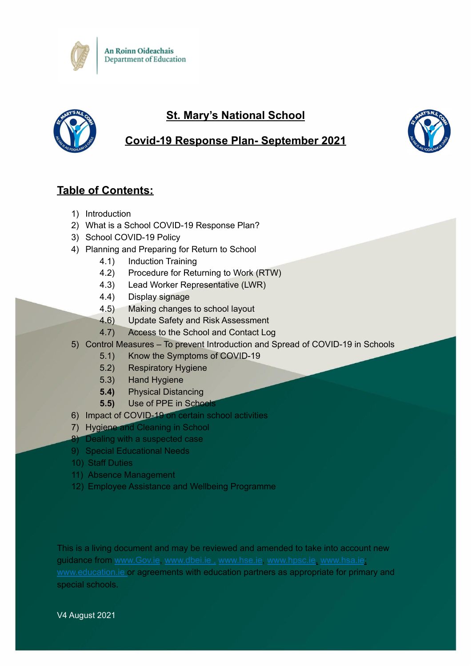



## **St. Mary's National School**



## **Table of Contents:**

- 1) Introduction
- 2) What is a School COVID-19 Response Plan?
- 3) School COVID-19 Policy
- 4) Planning and Preparing for Return to School
	- 4.1) Induction Training
	- 4.2) Procedure for Returning to Work (RTW)
	- 4.3) Lead Worker Representative (LWR)
	- 4.4) Display signage
	- 4.5) Making changes to school layout
	- 4.6) Update Safety and Risk Assessment
	- 4.7) Access to the School and Contact Log
- 5) Control Measures To prevent Introduction and Spread of COVID-19 in Schools
	- 5.1) Know the Symptoms of COVID-19
	- 5.2) Respiratory Hygiene
	- 5.3) Hand Hygiene
	- **5.4)** Physical Distancing
	- **5.5)** Use of PPE in Schools
- 6) Impact of COVID-19 on certain school activities
- 7) Hygiene and Cleaning in School
- 8) Dealing with a suspected case
- 9) Special Educational Needs
- 10) Staff Duties
- 11) Absence Management
- 12) Employee Assistance and Wellbeing Programme

This is a living document and may be reviewed and amended to take into account new guidance from [www.Gov.ie,](http://www.gov.ie) [www.dbei.ie](http://www.dbei.ie) , [www.hse.ie](http://www.hse.ie), [www.hpsc.ie,](http://www.hpsc.ie) [www.hsa.ie](http://www.hsa.ie); [www.education.ie](http://www.education.ie) or agreements with education partners as appropriate for primary and special schools.

V4 August 2021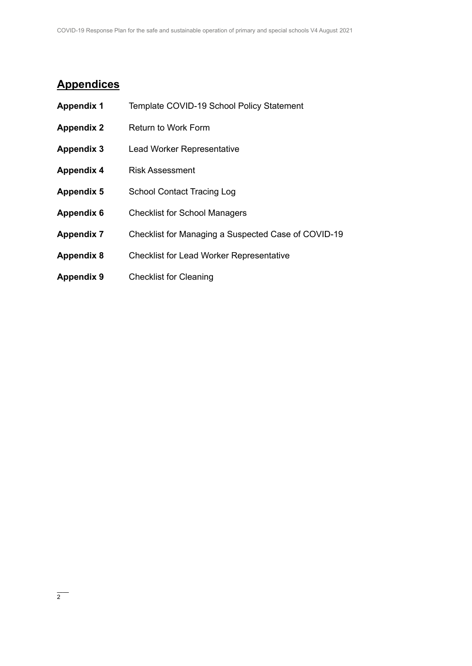# **Appendices**

| <b>Appendix 1</b> | Template COVID-19 School Policy Statement           |
|-------------------|-----------------------------------------------------|
| <b>Appendix 2</b> | Return to Work Form                                 |
| <b>Appendix 3</b> | <b>Lead Worker Representative</b>                   |
| <b>Appendix 4</b> | <b>Risk Assessment</b>                              |
| <b>Appendix 5</b> | <b>School Contact Tracing Log</b>                   |
| <b>Appendix 6</b> | <b>Checklist for School Managers</b>                |
| <b>Appendix 7</b> | Checklist for Managing a Suspected Case of COVID-19 |
| <b>Appendix 8</b> | <b>Checklist for Lead Worker Representative</b>     |
| <b>Appendix 9</b> | <b>Checklist for Cleaning</b>                       |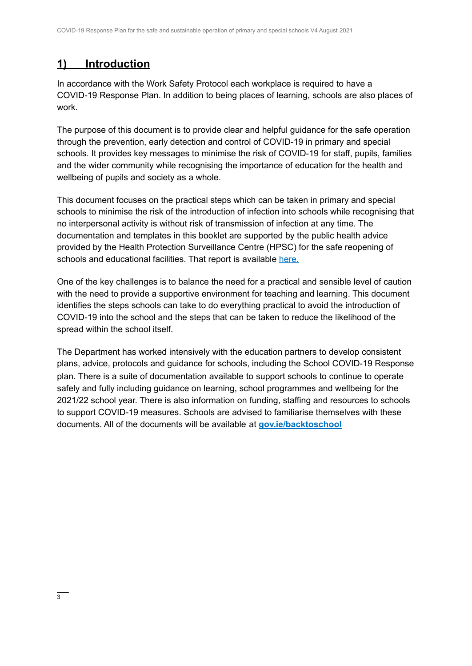## **1) Introduction**

In accordance with the Work Safety Protocol each workplace is required to have a COVID-19 Response Plan. In addition to being places of learning, schools are also places of work.

The purpose of this document is to provide clear and helpful guidance for the safe operation through the prevention, early detection and control of COVID-19 in primary and special schools. It provides key messages to minimise the risk of COVID-19 for staff, pupils, families and the wider community while recognising the importance of education for the health and wellbeing of pupils and society as a whole.

This document focuses on the practical steps which can be taken in primary and special schools to minimise the risk of the introduction of infection into schools while recognising that no interpersonal activity is without risk of transmission of infection at any time. The documentation and templates in this booklet are supported by the public health advice provided by the Health Protection Surveillance Centre (HPSC) for the safe reopening of schools and educational facilities. That report is available [here.](https://assets.gov.ie/78748/8796d60e-790e-4007-add1-de18e509a3c1.pdf)

One of the key challenges is to balance the need for a practical and sensible level of caution with the need to provide a supportive environment for teaching and learning. This document identifies the steps schools can take to do everything practical to avoid the introduction of COVID-19 into the school and the steps that can be taken to reduce the likelihood of the spread within the school itself.

The Department has worked intensively with the education partners to develop consistent plans, advice, protocols and guidance for schools, including the School COVID-19 Response plan. There is a suite of documentation available to support schools to continue to operate safely and fully including guidance on learning, school programmes and wellbeing for the 2021/22 school year. There is also information on funding, staffing and resources to schools to support COVID-19 measures. Schools are advised to familiarise themselves with these documents. All of the documents will be available at **[gov.ie/backtoschool](http://www.gov.ie/backtoschool)**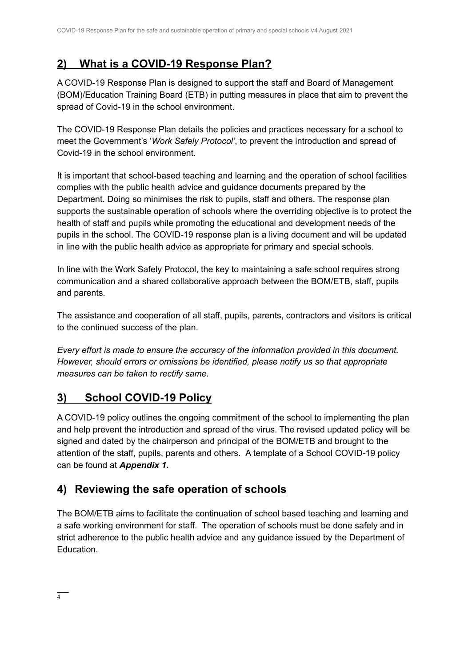## **2) What is a COVID-19 Response Plan?**

A COVID-19 Response Plan is designed to support the staff and Board of Management (BOM)/Education Training Board (ETB) in putting measures in place that aim to prevent the spread of Covid-19 in the school environment.

The COVID-19 Response Plan details the policies and practices necessary for a school to meet the Government's '*Work Safely Protocol'*, to prevent the introduction and spread of Covid-19 in the school environment.

It is important that school-based teaching and learning and the operation of school facilities complies with the public health advice and guidance documents prepared by the Department. Doing so minimises the risk to pupils, staff and others. The response plan supports the sustainable operation of schools where the overriding objective is to protect the health of staff and pupils while promoting the educational and development needs of the pupils in the school. The COVID-19 response plan is a living document and will be updated in line with the public health advice as appropriate for primary and special schools.

In line with the Work Safely Protocol, the key to maintaining a safe school requires strong communication and a shared collaborative approach between the BOM/ETB, staff, pupils and parents.

The assistance and cooperation of all staff, pupils, parents, contractors and visitors is critical to the continued success of the plan.

*Every effort is made to ensure the accuracy of the information provided in this document. However, should errors or omissions be identified, please notify us so that appropriate measures can be taken to rectify same.*

# **3) School COVID-19 Policy**

A COVID-19 policy outlines the ongoing commitment of the school to implementing the plan and help prevent the introduction and spread of the virus. The revised updated policy will be signed and dated by the chairperson and principal of the BOM/ETB and brought to the attention of the staff, pupils, parents and others. A template of a School COVID-19 policy can be found at *Appendix 1.*

## **4) Reviewing the safe operation of schools**

The BOM/ETB aims to facilitate the continuation of school based teaching and learning and a safe working environment for staff. The operation of schools must be done safely and in strict adherence to the public health advice and any guidance issued by the Department of **Education**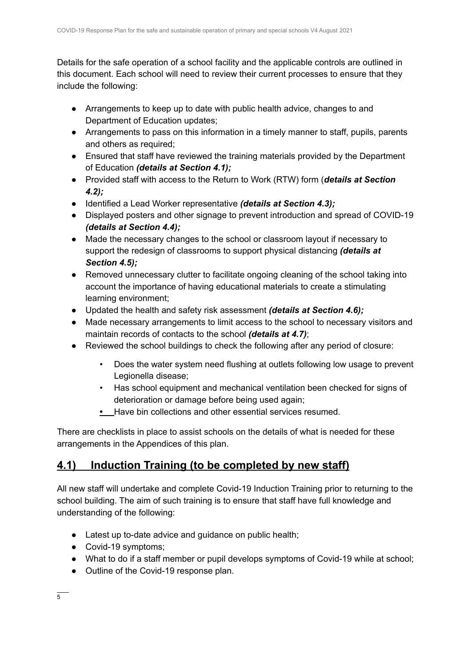Details for the safe operation of a school facility and the applicable controls are outlined in this document. Each school will need to review their current processes to ensure that they include the following:

- Arrangements to keep up to date with public health advice, changes to and Department of Education updates;
- Arrangements to pass on this information in a timely manner to staff, pupils, parents and others as required;
- Ensured that staff have reviewed the training materials provided by the Department of Education *(details at Section 4.1);*
- *●* Provided staff with access to the Return to Work (RTW) form (*details at Section 4.2);*
- *●* Identified a Lead Worker representative *(details at Section 4.3);*
- Displayed posters and other signage to prevent introduction and spread of COVID-19 *(details at Section 4.4);*
- *●* Made the necessary changes to the school or classroom layout if necessary to support the redesign of classrooms to support physical distancing *(details at Section 4.5);*
- *●* Removed unnecessary clutter to facilitate ongoing cleaning of the school taking into account the importance of having educational materials to create a stimulating learning environment;
- *●* Updated the health and safety risk assessment *(details at Section 4.6);*
- *●* Made necessary arrangements to limit access to the school to necessary visitors and maintain records of contacts to the school *(details at 4.7)*;
- Reviewed the school buildings to check the following after any period of closure:
	- Does the water system need flushing at outlets following low usage to prevent Legionella disease;
	- Has school equipment and mechanical ventilation been checked for signs of deterioration or damage before being used again;
	- **•** Have bin collections and other essential services resumed.

There are checklists in place to assist schools on the details of what is needed for these arrangements in the Appendices of this plan.

## **4.1) Induction Training (to be completed by new staff)**

All new staff will undertake and complete Covid-19 Induction Training prior to returning to the school building. The aim of such training is to ensure that staff have full knowledge and understanding of the following:

- Latest up to-date advice and guidance on public health;
- Covid-19 symptoms:
- What to do if a staff member or pupil develops symptoms of Covid-19 while at school;
- Outline of the Covid-19 response plan.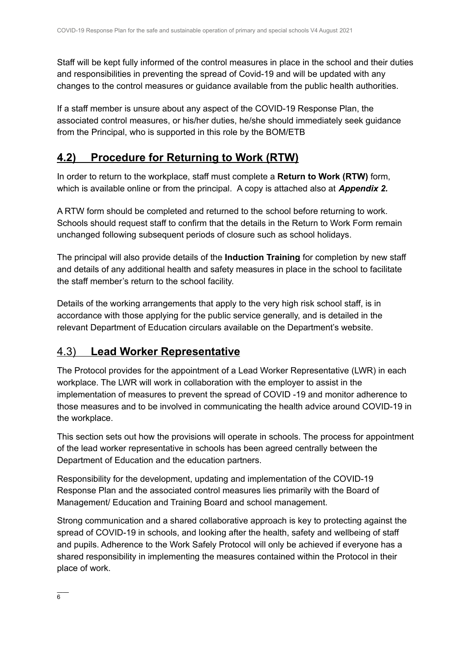Staff will be kept fully informed of the control measures in place in the school and their duties and responsibilities in preventing the spread of Covid-19 and will be updated with any changes to the control measures or guidance available from the public health authorities.

If a staff member is unsure about any aspect of the COVID-19 Response Plan, the associated control measures, or his/her duties, he/she should immediately seek guidance from the Principal, who is supported in this role by the BOM/ETB

## **4.2) Procedure for Returning to Work (RTW)**

In order to return to the workplace, staff must complete a **Return to Work (RTW)** form, which is available online or from the principal. A copy is attached also at *Appendix 2.*

A RTW form should be completed and returned to the school before returning to work. Schools should request staff to confirm that the details in the Return to Work Form remain unchanged following subsequent periods of closure such as school holidays.

The principal will also provide details of the **Induction Training** for completion by new staff and details of any additional health and safety measures in place in the school to facilitate the staff member's return to the school facility.

Details of the working arrangements that apply to the very high risk school staff, is in accordance with those applying for the public service generally, and is detailed in the relevant Department of Education circulars available on the Department's website.

### 4.3) **Lead Worker Representative**

The Protocol provides for the appointment of a Lead Worker Representative (LWR) in each workplace. The LWR will work in collaboration with the employer to assist in the implementation of measures to prevent the spread of COVID -19 and monitor adherence to those measures and to be involved in communicating the health advice around COVID-19 in the workplace.

This section sets out how the provisions will operate in schools. The process for appointment of the lead worker representative in schools has been agreed centrally between the Department of Education and the education partners.

Responsibility for the development, updating and implementation of the COVID-19 Response Plan and the associated control measures lies primarily with the Board of Management/ Education and Training Board and school management.

Strong communication and a shared collaborative approach is key to protecting against the spread of COVID-19 in schools, and looking after the health, safety and wellbeing of staff and pupils. Adherence to the Work Safely Protocol will only be achieved if everyone has a shared responsibility in implementing the measures contained within the Protocol in their place of work.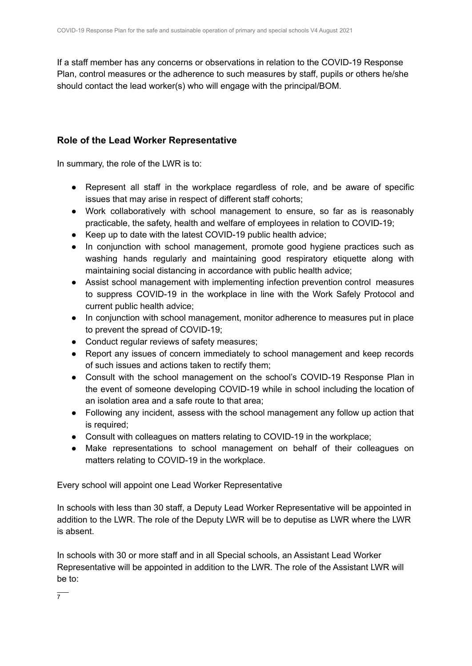If a staff member has any concerns or observations in relation to the COVID-19 Response Plan, control measures or the adherence to such measures by staff, pupils or others he/she should contact the lead worker(s) who will engage with the principal/BOM.

### **Role of the Lead Worker Representative**

In summary, the role of the LWR is to:

- Represent all staff in the workplace regardless of role, and be aware of specific issues that may arise in respect of different staff cohorts;
- Work collaboratively with school management to ensure, so far as is reasonably practicable, the safety, health and welfare of employees in relation to COVID-19;
- Keep up to date with the latest COVID-19 public health advice;
- In conjunction with school management, promote good hygiene practices such as washing hands regularly and maintaining good respiratory etiquette along with maintaining social distancing in accordance with public health advice;
- Assist school management with implementing infection prevention control measures to suppress COVID-19 in the workplace in line with the Work Safely Protocol and current public health advice;
- In conjunction with school management, monitor adherence to measures put in place to prevent the spread of COVID-19;
- Conduct regular reviews of safety measures;
- Report any issues of concern immediately to school management and keep records of such issues and actions taken to rectify them;
- Consult with the school management on the school's COVID-19 Response Plan in the event of someone developing COVID-19 while in school including the location of an isolation area and a safe route to that area;
- Following any incident, assess with the school management any follow up action that is required;
- Consult with colleagues on matters relating to COVID-19 in the workplace;
- Make representations to school management on behalf of their colleagues on matters relating to COVID-19 in the workplace.

Every school will appoint one Lead Worker Representative

In schools with less than 30 staff, a Deputy Lead Worker Representative will be appointed in addition to the LWR. The role of the Deputy LWR will be to deputise as LWR where the LWR is absent.

In schools with 30 or more staff and in all Special schools, an Assistant Lead Worker Representative will be appointed in addition to the LWR. The role of the Assistant LWR will be to: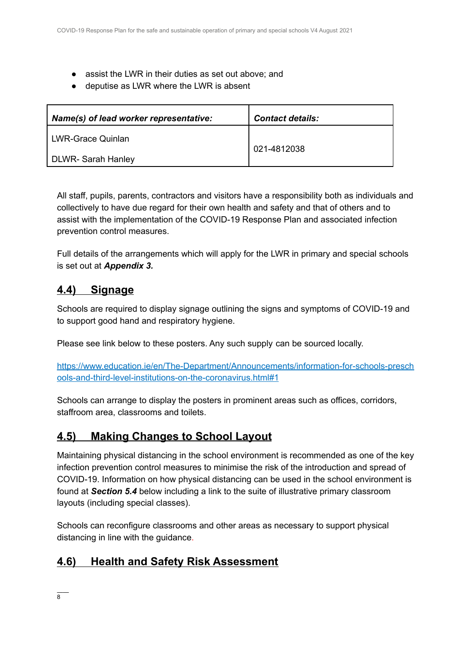- assist the LWR in their duties as set out above; and
- deputise as LWR where the LWR is absent

| Name(s) of lead worker representative: | <b>Contact details:</b> |  |  |
|----------------------------------------|-------------------------|--|--|
| <b>LWR-Grace Quinlan</b>               | 021-4812038             |  |  |
| DLWR-Sarah Hanley                      |                         |  |  |

All staff, pupils, parents, contractors and visitors have a responsibility both as individuals and collectively to have due regard for their own health and safety and that of others and to assist with the implementation of the COVID-19 Response Plan and associated infection prevention control measures.

Full details of the arrangements which will apply for the LWR in primary and special schools is set out at *Appendix 3.*

### **4.4) Signage**

Schools are required to display signage outlining the signs and symptoms of COVID-19 and to support good hand and respiratory hygiene.

Please see link below to these posters. Any such supply can be sourced locally.

[https://www.education.ie/en/The-Department/Announcements/information-for-schools-presch](https://www.education.ie/en/The-Department/Announcements/information-for-schools-preschools-and-third-level-institutions-on-the-coronavirus.html#1) [ools-and-third-level-institutions-on-the-coronavirus.html#1](https://www.education.ie/en/The-Department/Announcements/information-for-schools-preschools-and-third-level-institutions-on-the-coronavirus.html#1)

Schools can arrange to display the posters in prominent areas such as offices, corridors, staffroom area, classrooms and toilets.

### **4.5) Making Changes to School Layout**

Maintaining physical distancing in the school environment is recommended as one of the key infection prevention control measures to minimise the risk of the introduction and spread of COVID-19. Information on how physical distancing can be used in the school environment is found at *Section 5.4* below including a link to the suite of illustrative primary classroom layouts (including special classes).

Schools can reconfigure classrooms and other areas as necessary to support physical distancing in line with the guidance.

### **4.6) Health and Safety Risk Assessment**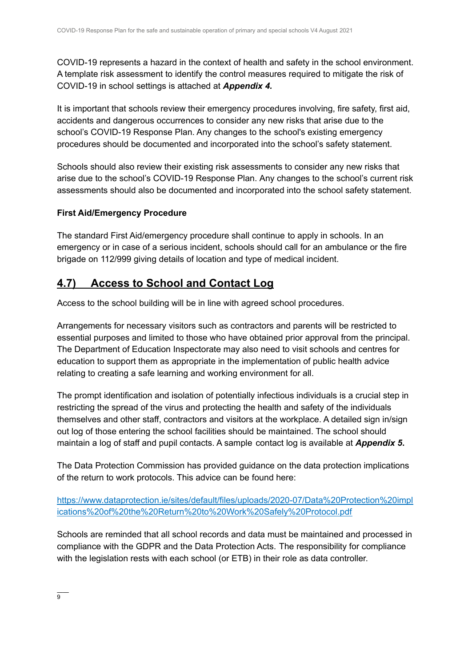COVID-19 represents a hazard in the context of health and safety in the school environment. A template risk assessment to identify the control measures required to mitigate the risk of COVID-19 in school settings is attached at *Appendix 4.*

It is important that schools review their emergency procedures involving, fire safety, first aid, accidents and dangerous occurrences to consider any new risks that arise due to the school's COVID-19 Response Plan. Any changes to the school's existing emergency procedures should be documented and incorporated into the school's safety statement.

Schools should also review their existing risk assessments to consider any new risks that arise due to the school's COVID-19 Response Plan. Any changes to the school's current risk assessments should also be documented and incorporated into the school safety statement.

### **First Aid/Emergency Procedure**

The standard First Aid/emergency procedure shall continue to apply in schools. In an emergency or in case of a serious incident, schools should call for an ambulance or the fire brigade on 112/999 giving details of location and type of medical incident.

## **4.7) Access to School and Contact Log**

Access to the school building will be in line with agreed school procedures.

Arrangements for necessary visitors such as contractors and parents will be restricted to essential purposes and limited to those who have obtained prior approval from the principal. The Department of Education Inspectorate may also need to visit schools and centres for education to support them as appropriate in the implementation of public health advice relating to creating a safe learning and working environment for all.

The prompt identification and isolation of potentially infectious individuals is a crucial step in restricting the spread of the virus and protecting the health and safety of the individuals themselves and other staff, contractors and visitors at the workplace. A detailed sign in/sign out log of those entering the school facilities should be maintained. The school should maintain a log of staff and pupil contacts. A sample contact log is available at *Appendix 5***.**

The Data Protection Commission has provided guidance on the data protection implications of the return to work protocols. This advice can be found here:

[https://www.dataprotection.ie/sites/default/files/uploads/2020-07/Data%20Protection%20impl](https://www.dataprotection.ie/sites/default/files/uploads/2020-07/Data%20Protection%20implications%20of%20the%20Return%20to%20Work%20Safely%20Protocol.pdf) [ications%20of%20the%20Return%20to%20Work%20Safely%20Protocol.pdf](https://www.dataprotection.ie/sites/default/files/uploads/2020-07/Data%20Protection%20implications%20of%20the%20Return%20to%20Work%20Safely%20Protocol.pdf)

Schools are reminded that all school records and data must be maintained and processed in compliance with the GDPR and the Data Protection Acts. The responsibility for compliance with the legislation rests with each school (or ETB) in their role as data controller.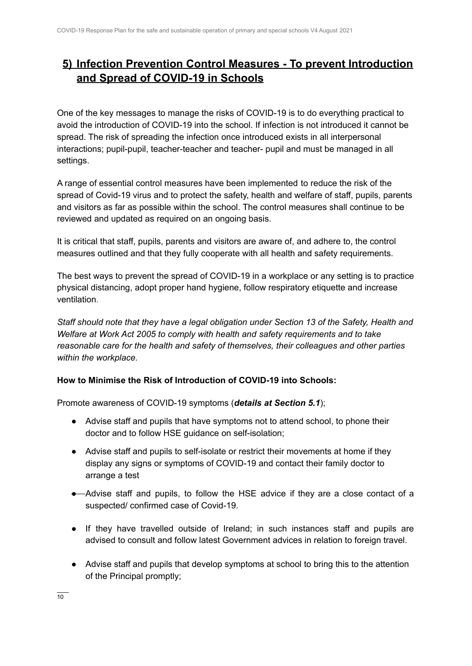## **5) Infection Prevention Control Measures - To prevent Introduction and Spread of COVID-19 in Schools**

One of the key messages to manage the risks of COVID-19 is to do everything practical to avoid the introduction of COVID-19 into the school. If infection is not introduced it cannot be spread. The risk of spreading the infection once introduced exists in all interpersonal interactions; pupil-pupil, teacher-teacher and teacher- pupil and must be managed in all settings.

A range of essential control measures have been implemented to reduce the risk of the spread of Covid-19 virus and to protect the safety, health and welfare of staff, pupils, parents and visitors as far as possible within the school. The control measures shall continue to be reviewed and updated as required on an ongoing basis.

It is critical that staff, pupils, parents and visitors are aware of, and adhere to, the control measures outlined and that they fully cooperate with all health and safety requirements.

The best ways to prevent the spread of COVID-19 in a workplace or any setting is to practice physical distancing, adopt proper hand hygiene, follow respiratory etiquette and increase ventilation.

*Staff should note that they have a legal obligation under Section 13 of the Safety, Health and Welfare at Work Act 2005 to comply with health and safety requirements and to take reasonable care for the health and safety of themselves, their colleagues and other parties within the workplace.*

### **How to Minimise the Risk of Introduction of COVID-19 into Schools:**

Promote awareness of COVID-19 symptoms (*details at Section 5.1*);

- Advise staff and pupils that have symptoms not to attend school, to phone their doctor and to follow HSE guidance on self-isolation;
- Advise staff and pupils to self-isolate or restrict their movements at home if they display any signs or symptoms of COVID-19 and contact their family doctor to arrange a test
- Advise staff and pupils, to follow the HSE advice if they are a close contact of a suspected/ confirmed case of Covid-19.
- If they have travelled outside of Ireland; in such instances staff and pupils are advised to consult and follow latest Government advices in relation to foreign travel.
- Advise staff and pupils that develop symptoms at school to bring this to the attention of the Principal promptly;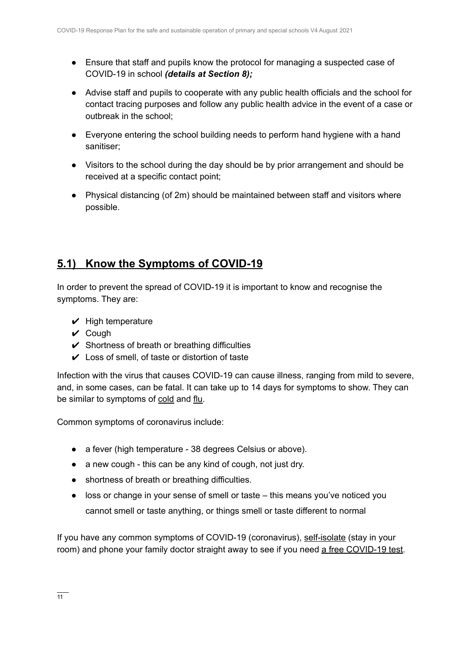- *●* Ensure that staff and pupils know the protocol for managing a suspected case of COVID-19 in school *(details at Section 8);*
- Advise staff and pupils to cooperate with any public health officials and the school for contact tracing purposes and follow any public health advice in the event of a case or outbreak in the school;
- Everyone entering the school building needs to perform hand hygiene with a hand sanitiser;
- Visitors to the school during the day should be by prior arrangement and should be received at a specific contact point;
- *●* Physical distancing (of 2m) should be maintained between staff and visitors where possible.

## **5.1) Know the Symptoms of COVID-19**

In order to prevent the spread of COVID-19 it is important to know and recognise the symptoms. They are:

- $\vee$  High temperature
- $\vee$  Cough
- $\checkmark$  Shortness of breath or breathing difficulties
- $\vee$  Loss of smell, of taste or distortion of taste

Infection with the virus that causes COVID-19 can cause illness, ranging from mild to severe, and, in some cases, can be fatal. It can take up to 14 days for symptoms to show. They can be similar to symptoms of [cold](https://www2.hse.ie/conditions/common-cold.html) and [flu.](https://www2.hse.ie/conditions/flu/flu-symptoms-and-diagnosis.html)

Common symptoms of coronavirus include:

- a fever (high temperature 38 degrees Celsius or above).
- a new cough this can be any kind of cough, not just dry.
- shortness of breath or breathing difficulties.
- loss or change in your sense of smell or taste this means you've noticed you cannot smell or taste anything, or things smell or taste different to normal

If you have any common symptoms of COVID-19 (coronavirus), [self-isolate](https://www2.hse.ie/conditions/coronavirus/self-isolation/how-to-self-isolate.html) (stay in your room) and phone your family doctor straight away to see if you need a free [COVID-19](https://www2.hse.ie/conditions/coronavirus/testing/how-to-get-tested.html) test.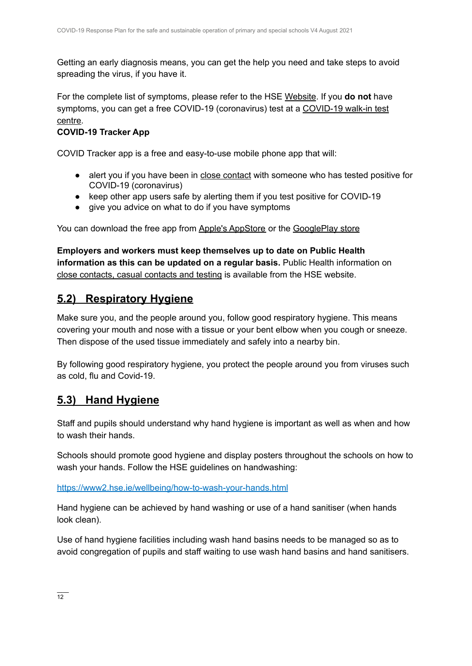Getting an early diagnosis means, you can get the help you need and take steps to avoid spreading the virus, if you have it.

For the complete list of symptoms, please refer to the HSE [Website](https://www2.hse.ie/conditions/coronavirus/symptoms.html). If you **do not** have symptoms, you can get a free COVID-19 (coronavirus) test at a [COVID-19](https://www2.hse.ie/conditions/coronavirus/testing/covid-19-walk-in-test-centres.html) walk-in test [centre.](https://www2.hse.ie/conditions/coronavirus/testing/covid-19-walk-in-test-centres.html)

### **COVID-19 Tracker App**

COVID Tracker app is a free and easy-to-use mobile phone app that will:

- alert you if you have been in close [contact](https://www2.hse.ie/conditions/coronavirus/close-contact-and-casual-contact.html) with someone who has tested positive for COVID-19 (coronavirus)
- keep other app users safe by alerting them if you test positive for COVID-19
- give you advice on what to do if you have symptoms

You can download the free app from Apple's [AppStore](https://apps.apple.com/ie/app/covid-tracker-ireland/id1505596721) or the [GooglePlay](https://play.google.com/store/apps/details?id=com.covidtracker.hse) store

**Employers and workers must keep themselves up to date on Public Health information as this can be updated on a regular basis.** Public Health information on close [contacts,](https://www2.hse.ie/conditions/coronavirus/close-contact-and-casual-contact.html) casual contacts and testing is available from the HSE website.

### **5.2) Respiratory Hygiene**

Make sure you, and the people around you, follow good respiratory hygiene. This means covering your mouth and nose with a tissue or your bent elbow when you cough or sneeze. Then dispose of the used tissue immediately and safely into a nearby bin.

By following good respiratory hygiene, you protect the people around you from viruses such as cold, flu and Covid-19.

### **5.3) Hand Hygiene**

Staff and pupils should understand why hand hygiene is important as well as when and how to wash their hands.

Schools should promote good hygiene and display posters throughout the schools on how to wash your hands. Follow the HSE guidelines on handwashing:

### <https://www2.hse.ie/wellbeing/how-to-wash-your-hands.html>

Hand hygiene can be achieved by hand washing or use of a hand sanitiser (when hands look clean).

Use of hand hygiene facilities including wash hand basins needs to be managed so as to avoid congregation of pupils and staff waiting to use wash hand basins and hand sanitisers.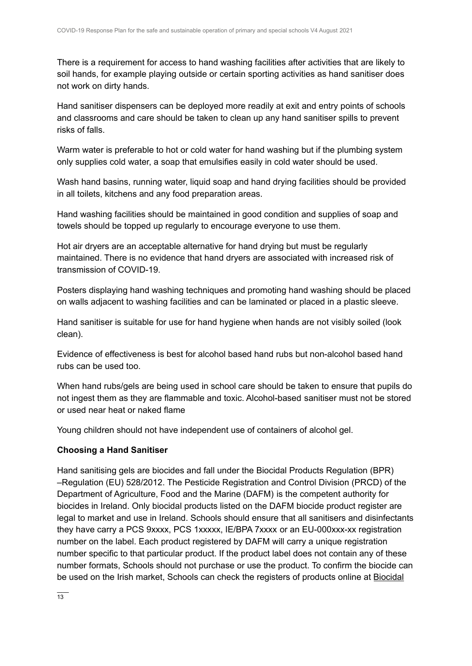There is a requirement for access to hand washing facilities after activities that are likely to soil hands, for example playing outside or certain sporting activities as hand sanitiser does not work on dirty hands.

Hand sanitiser dispensers can be deployed more readily at exit and entry points of schools and classrooms and care should be taken to clean up any hand sanitiser spills to prevent risks of falls.

Warm water is preferable to hot or cold water for hand washing but if the plumbing system only supplies cold water, a soap that emulsifies easily in cold water should be used.

Wash hand basins, running water, liquid soap and hand drying facilities should be provided in all toilets, kitchens and any food preparation areas.

Hand washing facilities should be maintained in good condition and supplies of soap and towels should be topped up regularly to encourage everyone to use them.

Hot air dryers are an acceptable alternative for hand drying but must be regularly maintained. There is no evidence that hand dryers are associated with increased risk of transmission of COVID-19.

Posters displaying hand washing techniques and promoting hand washing should be placed on walls adjacent to washing facilities and can be laminated or placed in a plastic sleeve.

Hand sanitiser is suitable for use for hand hygiene when hands are not visibly soiled (look clean).

Evidence of effectiveness is best for alcohol based hand rubs but non-alcohol based hand rubs can be used too.

When hand rubs/gels are being used in school care should be taken to ensure that pupils do not ingest them as they are flammable and toxic. Alcohol-based sanitiser must not be stored or used near heat or naked flame

Young children should not have independent use of containers of alcohol gel.

### **Choosing a Hand Sanitiser**

Hand sanitising gels are biocides and fall under the Biocidal Products Regulation (BPR) –Regulation (EU) 528/2012. The Pesticide Registration and Control Division (PRCD) of the Department of Agriculture, Food and the Marine (DAFM) is the competent authority for biocides in Ireland. Only biocidal products listed on the DAFM biocide product register are legal to market and use in Ireland. Schools should ensure that all sanitisers and disinfectants they have carry a PCS 9xxxx, PCS 1xxxxx, IE/BPA 7xxxx or an EU-000xxx-xx registration number on the label. Each product registered by DAFM will carry a unique registration number specific to that particular product. If the product label does not contain any of these number formats, Schools should not purchase or use the product. To confirm the biocide can be used on the Irish market, Schools can check the registers of products online at [Biocidal](https://www.pcs.agriculture.gov.ie/registers/biocidalproductregisters/)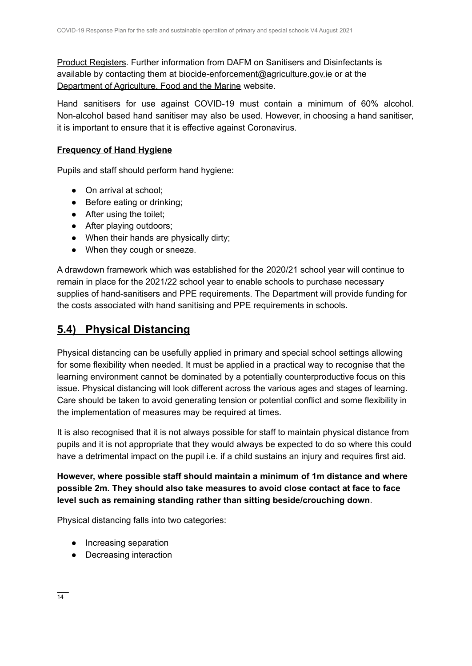Product [Registers](https://www.pcs.agriculture.gov.ie/registers/biocidalproductregisters/). Further information from DAFM on Sanitisers and Disinfectants is available by contacting them at [biocide-enforcement@agriculture.gov.ie](mailto:biocide-enforcement@agriculture.gov.ie) or at the [Department](https://www.agriculture.gov.ie/customerservice/coronaviruscovid-19/handsanitisersanddisinfectants/) of Agriculture, Food and the Marine website.

Hand sanitisers for use against COVID-19 must contain a minimum of 60% alcohol. Non-alcohol based hand sanitiser may also be used. However, in choosing a hand sanitiser, it is important to ensure that it is effective against Coronavirus.

#### **Frequency of Hand Hygiene**

Pupils and staff should perform hand hygiene:

- On arrival at school;
- Before eating or drinking;
- After using the toilet;
- After playing outdoors;
- When their hands are physically dirty;
- When they cough or sneeze.

A drawdown framework which was established for the 2020/21 school year will continue to remain in place for the 2021/22 school year to enable schools to purchase necessary supplies of hand-sanitisers and PPE requirements. The Department will provide funding for the costs associated with hand sanitising and PPE requirements in schools.

### **5.4) Physical Distancing**

Physical distancing can be usefully applied in primary and special school settings allowing for some flexibility when needed. It must be applied in a practical way to recognise that the learning environment cannot be dominated by a potentially counterproductive focus on this issue. Physical distancing will look different across the various ages and stages of learning. Care should be taken to avoid generating tension or potential conflict and some flexibility in the implementation of measures may be required at times.

It is also recognised that it is not always possible for staff to maintain physical distance from pupils and it is not appropriate that they would always be expected to do so where this could have a detrimental impact on the pupil i.e. if a child sustains an injury and requires first aid.

**However, where possible staff should maintain a minimum of 1m distance and where possible 2m. They should also take measures to avoid close contact at face to face level such as remaining standing rather than sitting beside/crouching down**.

Physical distancing falls into two categories:

- Increasing separation
- Decreasing interaction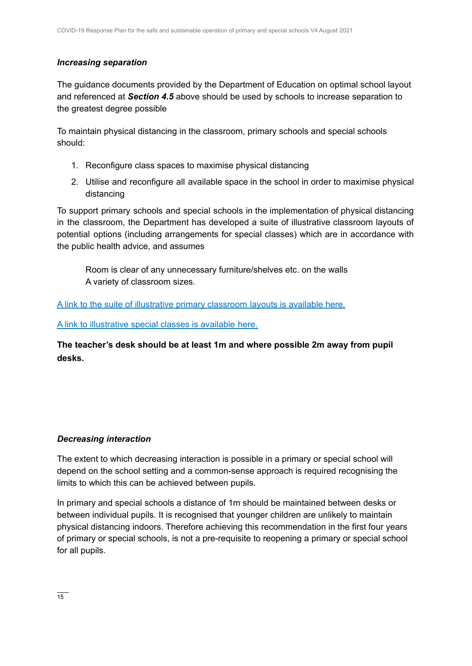### *Increasing separation*

The guidance documents provided by the Department of Education on optimal school layout and referenced at *Section 4.5* above should be used by schools to increase separation to the greatest degree possible

To maintain physical distancing in the classroom, primary schools and special schools should:

- 1. Reconfigure class spaces to maximise physical distancing
- 2. Utilise and reconfigure all available space in the school in order to maximise physical distancing

To support primary schools and special schools in the implementation of physical distancing in the classroom, the Department has developed a suite of illustrative classroom layouts of potential options (including arrangements for special classes) which are in accordance with the public health advice, and assumes

Room is clear of any unnecessary furniture/shelves etc. on the walls A variety of classroom sizes.

A link to the suite of illustrative primary [classroom](https://s3-eu-west-1.amazonaws.com/govieassets/82023/7612d390-4a73-4afb-ba06-5d1c41bd5a0a.pdf) layouts is available here.

A link to [illustrative](https://s3-eu-west-1.amazonaws.com/govieassets/81948/36874b14-f604-4966-b8c8-bc2954b73bbd.pdf) special classes is available here.

**The teacher's desk should be at least 1m and where possible 2m away from pupil desks.**

### *Decreasing interaction*

The extent to which decreasing interaction is possible in a primary or special school will depend on the school setting and a common-sense approach is required recognising the limits to which this can be achieved between pupils.

In primary and special schools a distance of 1m should be maintained between desks or between individual pupils. It is recognised that younger children are unlikely to maintain physical distancing indoors. Therefore achieving this recommendation in the first four years of primary or special schools, is not a pre-requisite to reopening a primary or special school for all pupils.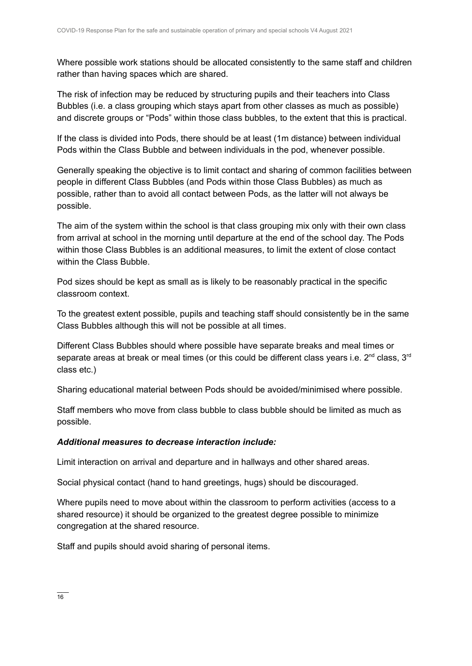Where possible work stations should be allocated consistently to the same staff and children rather than having spaces which are shared.

The risk of infection may be reduced by structuring pupils and their teachers into Class Bubbles (i.e. a class grouping which stays apart from other classes as much as possible) and discrete groups or "Pods" within those class bubbles, to the extent that this is practical.

If the class is divided into Pods, there should be at least (1m distance) between individual Pods within the Class Bubble and between individuals in the pod, whenever possible.

Generally speaking the objective is to limit contact and sharing of common facilities between people in different Class Bubbles (and Pods within those Class Bubbles) as much as possible, rather than to avoid all contact between Pods, as the latter will not always be possible.

The aim of the system within the school is that class grouping mix only with their own class from arrival at school in the morning until departure at the end of the school day. The Pods within those Class Bubbles is an additional measures, to limit the extent of close contact within the Class Bubble.

Pod sizes should be kept as small as is likely to be reasonably practical in the specific classroom context.

To the greatest extent possible, pupils and teaching staff should consistently be in the same Class Bubbles although this will not be possible at all times.

Different Class Bubbles should where possible have separate breaks and meal times or separate areas at break or meal times (or this could be different class years i.e. 2<sup>nd</sup> class, 3<sup>rd</sup> class etc.)

Sharing educational material between Pods should be avoided/minimised where possible.

Staff members who move from class bubble to class bubble should be limited as much as possible.

### *Additional measures to decrease interaction include:*

Limit interaction on arrival and departure and in hallways and other shared areas.

Social physical contact (hand to hand greetings, hugs) should be discouraged.

Where pupils need to move about within the classroom to perform activities (access to a shared resource) it should be organized to the greatest degree possible to minimize congregation at the shared resource.

Staff and pupils should avoid sharing of personal items.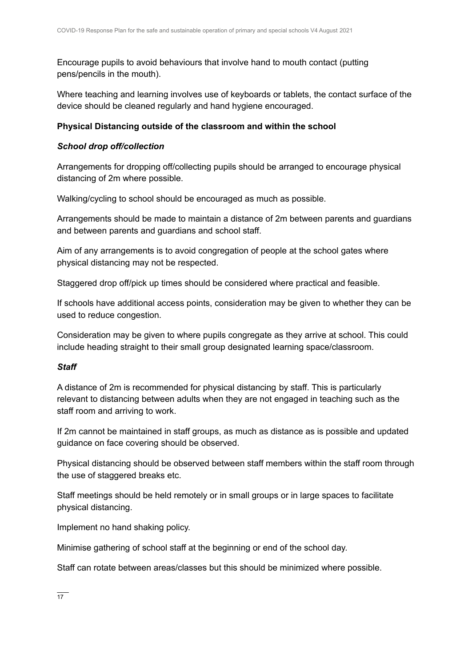Encourage pupils to avoid behaviours that involve hand to mouth contact (putting pens/pencils in the mouth).

Where teaching and learning involves use of keyboards or tablets, the contact surface of the device should be cleaned regularly and hand hygiene encouraged.

### **Physical Distancing outside of the classroom and within the school**

### *School drop off/collection*

Arrangements for dropping off/collecting pupils should be arranged to encourage physical distancing of 2m where possible.

Walking/cycling to school should be encouraged as much as possible.

Arrangements should be made to maintain a distance of 2m between parents and guardians and between parents and guardians and school staff.

Aim of any arrangements is to avoid congregation of people at the school gates where physical distancing may not be respected.

Staggered drop off/pick up times should be considered where practical and feasible.

If schools have additional access points, consideration may be given to whether they can be used to reduce congestion.

Consideration may be given to where pupils congregate as they arrive at school. This could include heading straight to their small group designated learning space/classroom.

### *Staff*

A distance of 2m is recommended for physical distancing by staff. This is particularly relevant to distancing between adults when they are not engaged in teaching such as the staff room and arriving to work.

If 2m cannot be maintained in staff groups, as much as distance as is possible and updated guidance on face covering should be observed.

Physical distancing should be observed between staff members within the staff room through the use of staggered breaks etc.

Staff meetings should be held remotely or in small groups or in large spaces to facilitate physical distancing.

Implement no hand shaking policy.

Minimise gathering of school staff at the beginning or end of the school day.

Staff can rotate between areas/classes but this should be minimized where possible.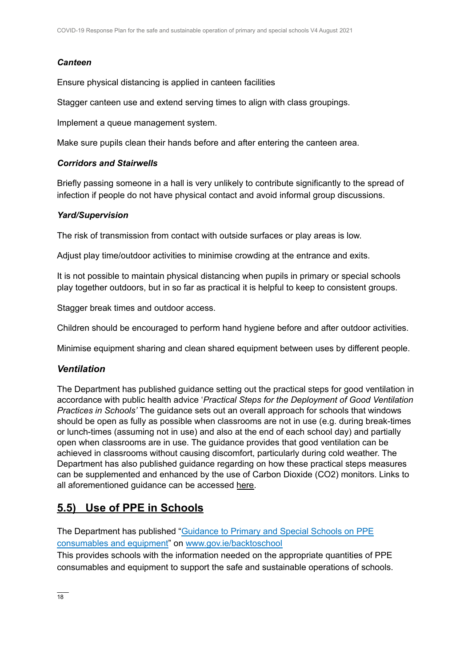### *Canteen*

Ensure physical distancing is applied in canteen facilities

Stagger canteen use and extend serving times to align with class groupings.

Implement a queue management system.

Make sure pupils clean their hands before and after entering the canteen area.

#### *Corridors and Stairwells*

Briefly passing someone in a hall is very unlikely to contribute significantly to the spread of infection if people do not have physical contact and avoid informal group discussions.

### *Yard/Supervision*

The risk of transmission from contact with outside surfaces or play areas is low.

Adjust play time/outdoor activities to minimise crowding at the entrance and exits.

It is not possible to maintain physical distancing when pupils in primary or special schools play together outdoors, but in so far as practical it is helpful to keep to consistent groups.

Stagger break times and outdoor access.

Children should be encouraged to perform hand hygiene before and after outdoor activities.

Minimise equipment sharing and clean shared equipment between uses by different people.

### *Ventilation*

The Department has published guidance setting out the practical steps for good ventilation in accordance with public health advice '*Practical Steps for the Deployment of Good Ventilation Practices in Schools'* The guidance sets out an overall approach for schools that windows should be open as fully as possible when classrooms are not in use (e.g. during break-times or lunch-times (assuming not in use) and also at the end of each school day) and partially open when classrooms are in use. The guidance provides that good ventilation can be achieved in classrooms without causing discomfort, particularly during cold weather. The Department has also published guidance regarding on how these practical steps measures can be supplemented and enhanced by the use of Carbon Dioxide (CO2) monitors. Links to all aforementioned guidance can be accessed [here.](https://www.gov.ie/en/publication/ad236-guidance-on-ventilation-in-schools/)

### **5.5) Use of PPE in Schools**

The Department has published ["Guidance](https://assets.gov.ie/83497/d48ade18-daa1-4610-9390-46e7312a9831.pdf) to Primary and Special Schools on PPE [consumables](https://assets.gov.ie/83497/d48ade18-daa1-4610-9390-46e7312a9831.pdf) and equipment" on [www.gov.ie/backtoschool](http://www.gov.ie/backtoschool)

This provides schools with the information needed on the appropriate quantities of PPE consumables and equipment to support the safe and sustainable operations of schools.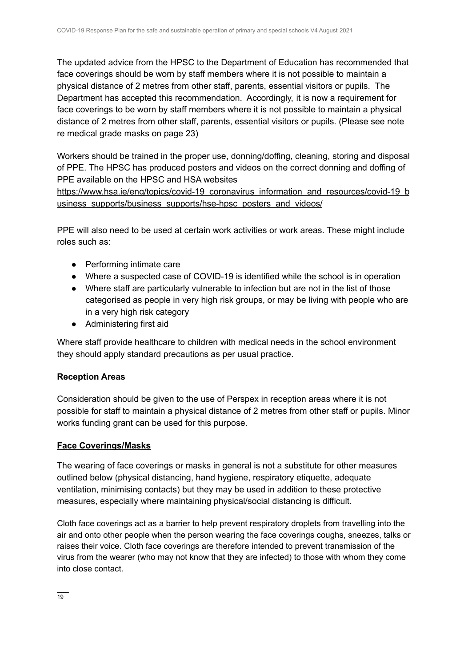The updated advice from the HPSC to the Department of Education has recommended that face coverings should be worn by staff members where it is not possible to maintain a physical distance of 2 metres from other staff, parents, essential visitors or pupils. The Department has accepted this recommendation. Accordingly, it is now a requirement for face coverings to be worn by staff members where it is not possible to maintain a physical distance of 2 metres from other staff, parents, essential visitors or pupils. (Please see note re medical grade masks on page 23)

Workers should be trained in the proper use, donning/doffing, cleaning, storing and disposal of PPE. The HPSC has produced posters and videos on the correct donning and doffing of PPE available on the HPSC and HSA websites

[https://www.hsa.ie/eng/topics/covid-19\\_coronavirus\\_information\\_and\\_resources/covid-19\\_b](https://www.hsa.ie/eng/topics/covid-19_coronavirus_information_and_resources/covid-19_business_supports/business_supports/hse-hpsc_posters_and_videos/) usiness supports/business supports/hse-hpsc posters and videos/

PPE will also need to be used at certain work activities or work areas. These might include roles such as:

- Performing intimate care
- Where a suspected case of COVID-19 is identified while the school is in operation
- Where staff are particularly vulnerable to infection but are not in the list of those categorised as people in very high risk groups, or may be living with people who are in a very high risk category
- Administering first aid

Where staff provide healthcare to children with medical needs in the school environment they should apply standard precautions as per usual practice.

### **Reception Areas**

Consideration should be given to the use of Perspex in reception areas where it is not possible for staff to maintain a physical distance of 2 metres from other staff or pupils. Minor works funding grant can be used for this purpose.

### **Face Coverings/Masks**

The wearing of face coverings or masks in general is not a substitute for other measures outlined below (physical distancing, hand hygiene, respiratory etiquette, adequate ventilation, minimising contacts) but they may be used in addition to these protective measures, especially where maintaining physical/social distancing is difficult.

Cloth face coverings act as a barrier to help prevent respiratory droplets from travelling into the air and onto other people when the person wearing the face coverings coughs, sneezes, talks or raises their voice. Cloth face coverings are therefore intended to prevent transmission of the virus from the wearer (who may not know that they are infected) to those with whom they come into close contact.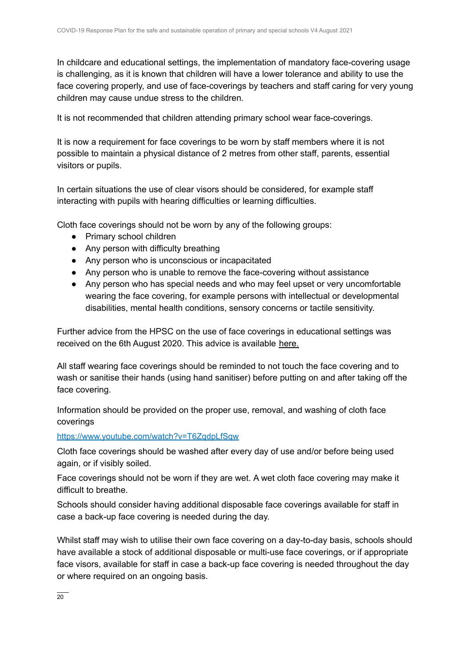In childcare and educational settings, the implementation of mandatory face-covering usage is challenging, as it is known that children will have a lower tolerance and ability to use the face covering properly, and use of face-coverings by teachers and staff caring for very young children may cause undue stress to the children.

It is not recommended that children attending primary school wear face-coverings.

It is now a requirement for face coverings to be worn by staff members where it is not possible to maintain a physical distance of 2 metres from other staff, parents, essential visitors or pupils.

In certain situations the use of clear visors should be considered, for example staff interacting with pupils with hearing difficulties or learning difficulties.

Cloth face coverings should not be worn by any of the following groups:

- Primary school children
- Any person with difficulty breathing
- Any person who is unconscious or incapacitated
- Any person who is unable to remove the face-covering without assistance
- Any person who has special needs and who may feel upset or very uncomfortable wearing the face covering, for example persons with intellectual or developmental disabilities, mental health conditions, sensory concerns or tactile sensitivity.

Further advice from the HPSC on the use of face coverings in educational settings was received on the 6th August 2020. This advice is available [here](https://assets.gov.ie/83506/86fba2a7-26da-4c19-bce3-b0d01aaaf59b.pdf).

All staff wearing face coverings should be reminded to not touch the face covering and to wash or sanitise their hands (using hand sanitiser) before putting on and after taking off the face covering.

Information should be provided on the proper use, removal, and washing of cloth face coverings

#### <https://www.youtube.com/watch?v=T6ZqdpLfSqw>

Cloth face coverings should be washed after every day of use and/or before being used again, or if visibly soiled.

Face coverings should not be worn if they are wet. A wet cloth face covering may make it difficult to breathe.

Schools should consider having additional disposable face coverings available for staff in case a back-up face covering is needed during the day.

Whilst staff may wish to utilise their own face covering on a day-to-day basis, schools should have available a stock of additional disposable or multi-use face coverings, or if appropriate face visors, available for staff in case a back-up face covering is needed throughout the day or where required on an ongoing basis.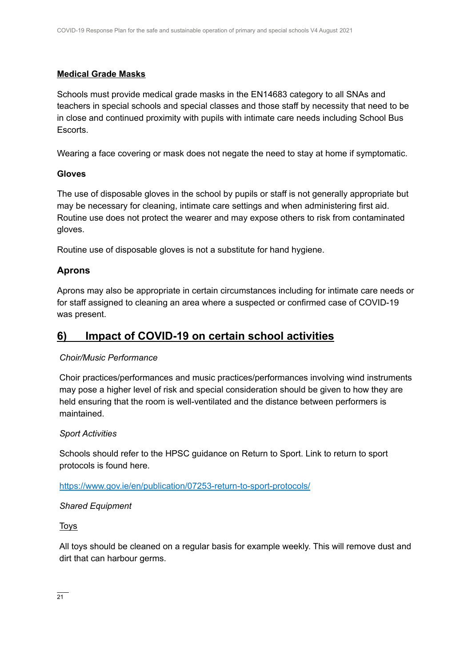### **Medical Grade Masks**

Schools must provide medical grade masks in the EN14683 category to all SNAs and teachers in special schools and special classes and those staff by necessity that need to be in close and continued proximity with pupils with intimate care needs including School Bus Escorts.

Wearing a face covering or mask does not negate the need to stay at home if symptomatic.

### **Gloves**

The use of disposable gloves in the school by pupils or staff is not generally appropriate but may be necessary for cleaning, intimate care settings and when administering first aid. Routine use does not protect the wearer and may expose others to risk from contaminated gloves.

Routine use of disposable gloves is not a substitute for hand hygiene.

### **Aprons**

Aprons may also be appropriate in certain circumstances including for intimate care needs or for staff assigned to cleaning an area where a suspected or confirmed case of COVID-19 was present.

### **6) Impact of COVID-19 on certain school activities**

### *Choir/Music Performance*

Choir practices/performances and music practices/performances involving wind instruments may pose a higher level of risk and special consideration should be given to how they are held ensuring that the room is well-ventilated and the distance between performers is maintained.

### *Sport Activities*

Schools should refer to the HPSC guidance on Return to Sport. Link to return to sport protocols is found here.

### <https://www.gov.ie/en/publication/07253-return-to-sport-protocols/>

### *Shared Equipment*

**Toys** 

All toys should be cleaned on a regular basis for example weekly. This will remove dust and dirt that can harbour germs.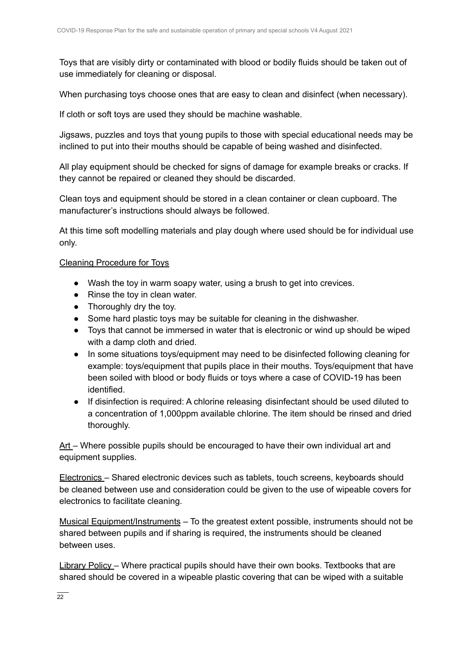Toys that are visibly dirty or contaminated with blood or bodily fluids should be taken out of use immediately for cleaning or disposal.

When purchasing toys choose ones that are easy to clean and disinfect (when necessary).

If cloth or soft toys are used they should be machine washable.

Jigsaws, puzzles and toys that young pupils to those with special educational needs may be inclined to put into their mouths should be capable of being washed and disinfected.

All play equipment should be checked for signs of damage for example breaks or cracks. If they cannot be repaired or cleaned they should be discarded.

Clean toys and equipment should be stored in a clean container or clean cupboard. The manufacturer's instructions should always be followed.

At this time soft modelling materials and play dough where used should be for individual use only.

### Cleaning Procedure for Toys

- Wash the toy in warm soapy water, using a brush to get into crevices.
- Rinse the toy in clean water.
- Thoroughly dry the toy.
- Some hard plastic toys may be suitable for cleaning in the dishwasher.
- Toys that cannot be immersed in water that is electronic or wind up should be wiped with a damp cloth and dried.
- In some situations toys/equipment may need to be disinfected following cleaning for example: toys/equipment that pupils place in their mouths. Toys/equipment that have been soiled with blood or body fluids or toys where a case of COVID-19 has been identified.
- If disinfection is required: A chlorine releasing disinfectant should be used diluted to a concentration of 1,000ppm available chlorine. The item should be rinsed and dried thoroughly.

Art – Where possible pupils should be encouraged to have their own individual art and equipment supplies.

Electronics – Shared electronic devices such as tablets, touch screens, keyboards should be cleaned between use and consideration could be given to the use of wipeable covers for electronics to facilitate cleaning.

Musical Equipment/Instruments – To the greatest extent possible, instruments should not be shared between pupils and if sharing is required, the instruments should be cleaned between uses.

Library Policy – Where practical pupils should have their own books. Textbooks that are shared should be covered in a wipeable plastic covering that can be wiped with a suitable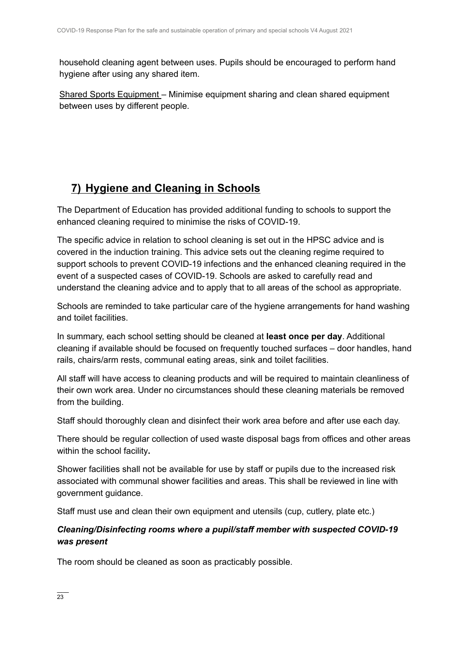household cleaning agent between uses. Pupils should be encouraged to perform hand hygiene after using any shared item.

Shared Sports Equipment – Minimise equipment sharing and clean shared equipment between uses by different people.

## **7) Hygiene and Cleaning in Schools**

The Department of Education has provided additional funding to schools to support the enhanced cleaning required to minimise the risks of COVID-19.

The specific advice in relation to school cleaning is set out in the HPSC advice and is covered in the induction training. This advice sets out the cleaning regime required to support schools to prevent COVID-19 infections and the enhanced cleaning required in the event of a suspected cases of COVID-19. Schools are asked to carefully read and understand the cleaning advice and to apply that to all areas of the school as appropriate.

Schools are reminded to take particular care of the hygiene arrangements for hand washing and toilet facilities.

In summary, each school setting should be cleaned at **least once per day**. Additional cleaning if available should be focused on frequently touched surfaces – door handles, hand rails, chairs/arm rests, communal eating areas, sink and toilet facilities.

All staff will have access to cleaning products and will be required to maintain cleanliness of their own work area. Under no circumstances should these cleaning materials be removed from the building.

Staff should thoroughly clean and disinfect their work area before and after use each day.

There should be regular collection of used waste disposal bags from offices and other areas within the school facility**.**

Shower facilities shall not be available for use by staff or pupils due to the increased risk associated with communal shower facilities and areas. This shall be reviewed in line with government guidance.

Staff must use and clean their own equipment and utensils (cup, cutlery, plate etc.)

### *Cleaning/Disinfecting rooms where a pupil/staff member with suspected COVID-19 was present*

The room should be cleaned as soon as practicably possible.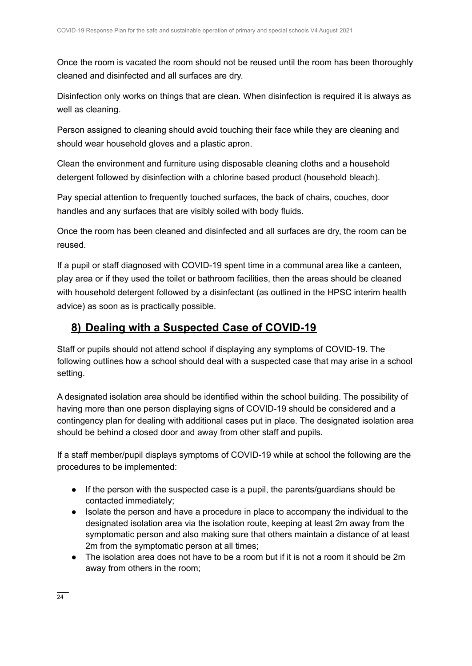Once the room is vacated the room should not be reused until the room has been thoroughly cleaned and disinfected and all surfaces are dry.

Disinfection only works on things that are clean. When disinfection is required it is always as well as cleaning.

Person assigned to cleaning should avoid touching their face while they are cleaning and should wear household gloves and a plastic apron.

Clean the environment and furniture using disposable cleaning cloths and a household detergent followed by disinfection with a chlorine based product (household bleach).

Pay special attention to frequently touched surfaces, the back of chairs, couches, door handles and any surfaces that are visibly soiled with body fluids.

Once the room has been cleaned and disinfected and all surfaces are dry, the room can be reused.

If a pupil or staff diagnosed with COVID-19 spent time in a communal area like a canteen, play area or if they used the toilet or bathroom facilities, then the areas should be cleaned with household detergent followed by a disinfectant (as outlined in the HPSC interim health advice) as soon as is practically possible.

### **8) Dealing with a Suspected Case of COVID-19**

Staff or pupils should not attend school if displaying any symptoms of COVID-19. The following outlines how a school should deal with a suspected case that may arise in a school setting.

A designated isolation area should be identified within the school building. The possibility of having more than one person displaying signs of COVID-19 should be considered and a contingency plan for dealing with additional cases put in place. The designated isolation area should be behind a closed door and away from other staff and pupils.

If a staff member/pupil displays symptoms of COVID-19 while at school the following are the procedures to be implemented:

- If the person with the suspected case is a pupil, the parents/guardians should be contacted immediately;
- Isolate the person and have a procedure in place to accompany the individual to the designated isolation area via the isolation route, keeping at least 2m away from the symptomatic person and also making sure that others maintain a distance of at least 2m from the symptomatic person at all times;
- The isolation area does not have to be a room but if it is not a room it should be 2m away from others in the room;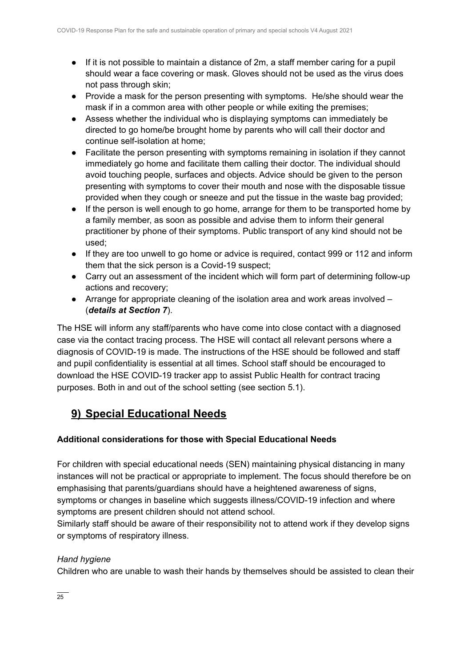- If it is not possible to maintain a distance of 2m, a staff member caring for a pupil should wear a face covering or mask. Gloves should not be used as the virus does not pass through skin;
- Provide a mask for the person presenting with symptoms. He/she should wear the mask if in a common area with other people or while exiting the premises;
- Assess whether the individual who is displaying symptoms can immediately be directed to go home/be brought home by parents who will call their doctor and continue self-isolation at home;
- Facilitate the person presenting with symptoms remaining in isolation if they cannot immediately go home and facilitate them calling their doctor. The individual should avoid touching people, surfaces and objects. Advice should be given to the person presenting with symptoms to cover their mouth and nose with the disposable tissue provided when they cough or sneeze and put the tissue in the waste bag provided;
- If the person is well enough to go home, arrange for them to be transported home by a family member, as soon as possible and advise them to inform their general practitioner by phone of their symptoms. Public transport of any kind should not be used;
- If they are too unwell to go home or advice is required, contact 999 or 112 and inform them that the sick person is a Covid-19 suspect;
- Carry out an assessment of the incident which will form part of determining follow-up actions and recovery;
- $\bullet$  Arrange for appropriate cleaning of the isolation area and work areas involved  $-$ (*details at Section 7*).

The HSE will inform any staff/parents who have come into close contact with a diagnosed case via the contact tracing process. The HSE will contact all relevant persons where a diagnosis of COVID-19 is made. The instructions of the HSE should be followed and staff and pupil confidentiality is essential at all times. School staff should be encouraged to download the HSE COVID-19 tracker app to assist Public Health for contract tracing purposes. Both in and out of the school setting (see section 5.1).

## **9) Special Educational Needs**

### **Additional considerations for those with Special Educational Needs**

For children with special educational needs (SEN) maintaining physical distancing in many instances will not be practical or appropriate to implement. The focus should therefore be on emphasising that parents/guardians should have a heightened awareness of signs, symptoms or changes in baseline which suggests illness/COVID-19 infection and where symptoms are present children should not attend school.

Similarly staff should be aware of their responsibility not to attend work if they develop signs or symptoms of respiratory illness.

### *Hand hygiene*

Children who are unable to wash their hands by themselves should be assisted to clean their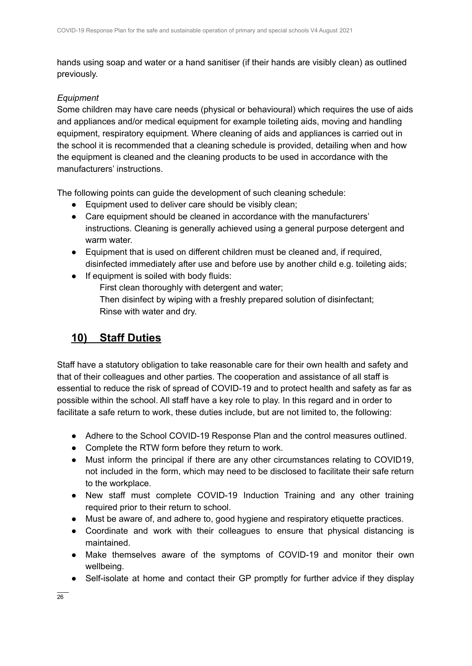hands using soap and water or a hand sanitiser (if their hands are visibly clean) as outlined previously.

### *Equipment*

Some children may have care needs (physical or behavioural) which requires the use of aids and appliances and/or medical equipment for example toileting aids, moving and handling equipment, respiratory equipment. Where cleaning of aids and appliances is carried out in the school it is recommended that a cleaning schedule is provided, detailing when and how the equipment is cleaned and the cleaning products to be used in accordance with the manufacturers' instructions.

The following points can guide the development of such cleaning schedule:

- Equipment used to deliver care should be visibly clean;
- Care equipment should be cleaned in accordance with the manufacturers' instructions. Cleaning is generally achieved using a general purpose detergent and warm water.
- Equipment that is used on different children must be cleaned and, if required, disinfected immediately after use and before use by another child e.g. toileting aids;
- If equipment is soiled with body fluids:

First clean thoroughly with detergent and water; Then disinfect by wiping with a freshly prepared solution of disinfectant; Rinse with water and dry.

## **10) Staff Duties**

Staff have a statutory obligation to take reasonable care for their own health and safety and that of their colleagues and other parties. The cooperation and assistance of all staff is essential to reduce the risk of spread of COVID-19 and to protect health and safety as far as possible within the school. All staff have a key role to play. In this regard and in order to facilitate a safe return to work, these duties include, but are not limited to, the following:

- Adhere to the School COVID-19 Response Plan and the control measures outlined.
- Complete the RTW form before they return to work.
- Must inform the principal if there are any other circumstances relating to COVID19, not included in the form, which may need to be disclosed to facilitate their safe return to the workplace.
- New staff must complete COVID-19 Induction Training and any other training required prior to their return to school.
- Must be aware of, and adhere to, good hygiene and respiratory etiquette practices.
- Coordinate and work with their colleagues to ensure that physical distancing is maintained.
- Make themselves aware of the symptoms of COVID-19 and monitor their own wellbeing.
- Self-isolate at home and contact their GP promptly for further advice if they display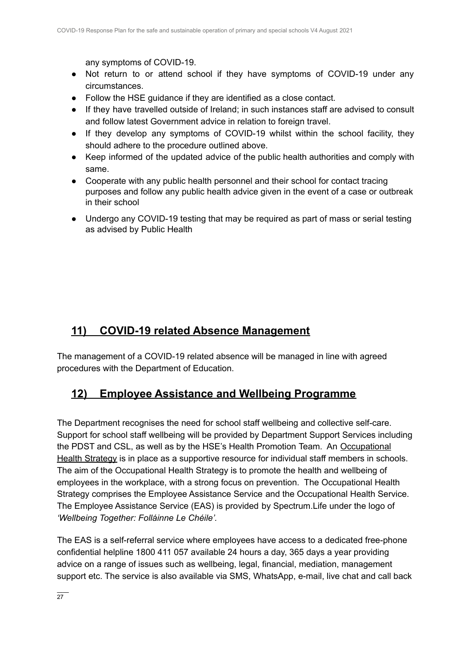any symptoms of COVID-19.

- Not return to or attend school if they have symptoms of COVID-19 under any circumstances.
- Follow the HSE guidance if they are identified as a close contact.
- If they have travelled outside of Ireland; in such instances staff are advised to consult and follow latest Government advice in relation to foreign travel.
- If they develop any symptoms of COVID-19 whilst within the school facility, they should adhere to the procedure outlined above.
- Keep informed of the updated advice of the public health authorities and comply with same.
- Cooperate with any public health personnel and their school for contact tracing purposes and follow any public health advice given in the event of a case or outbreak in their school
- Undergo any COVID-19 testing that may be required as part of mass or serial testing as advised by Public Health

## **11) COVID-19 related Absence Management**

The management of a COVID-19 related absence will be managed in line with agreed procedures with the Department of Education.

### **12) Employee Assistance and Wellbeing Programme**

The Department recognises the need for school staff wellbeing and collective self-care. Support for school staff wellbeing will be provided by Department Support Services including the PDST and CSL, as well as by the HSE's Health Promotion Team. An [Occupational](https://www.education.ie/en/Education-Staff/Information/Occupational-Health-Strategy/) Health [Strategy](https://www.education.ie/en/Education-Staff/Information/Occupational-Health-Strategy/) is in place as a supportive resource for individual staff members in schools. The aim of the Occupational Health Strategy is to promote the health and wellbeing of employees in the workplace, with a strong focus on prevention. The Occupational Health Strategy comprises the Employee Assistance Service and the Occupational Health Service. The Employee Assistance Service (EAS) is provided by Spectrum.Life under the logo of *'Wellbeing Together: Folláinne Le Chéile'.*

The EAS is a self-referral service where employees have access to a dedicated free-phone confidential helpline 1800 411 057 available 24 hours a day, 365 days a year providing advice on a range of issues such as wellbeing, legal, financial, mediation, management support etc. The service is also available via SMS, WhatsApp, e-mail, live chat and call back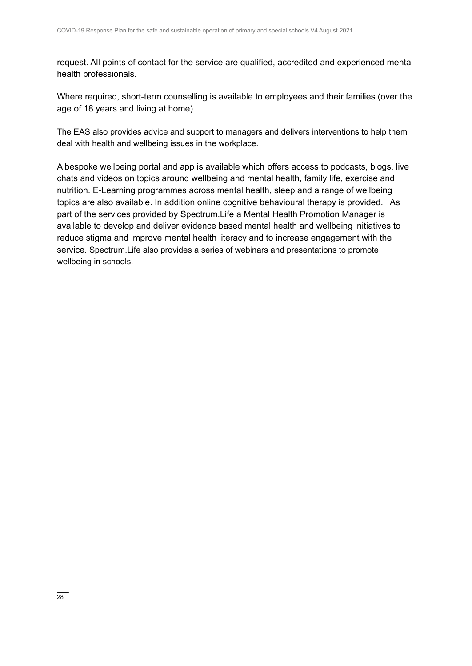request. All points of contact for the service are qualified, accredited and experienced mental health professionals.

Where required, short-term counselling is available to employees and their families (over the age of 18 years and living at home).

The EAS also provides advice and support to managers and delivers interventions to help them deal with health and wellbeing issues in the workplace.

A bespoke wellbeing portal and app is available which offers access to podcasts, blogs, live chats and videos on topics around wellbeing and mental health, family life, exercise and nutrition. E-Learning programmes across mental health, sleep and a range of wellbeing topics are also available. In addition online cognitive behavioural therapy is provided. As part of the services provided by Spectrum.Life a Mental Health Promotion Manager is available to develop and deliver evidence based mental health and wellbeing initiatives to reduce stigma and improve mental health literacy and to increase engagement with the service. Spectrum.Life also provides a series of webinars and presentations to promote wellbeing in schools.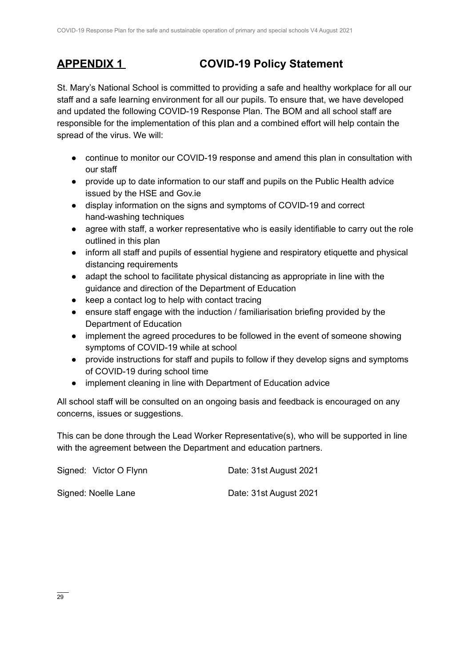# **APPENDIX 1 COVID-19 Policy Statement**

St. Mary's National School is committed to providing a safe and healthy workplace for all our staff and a safe learning environment for all our pupils. To ensure that, we have developed and updated the following COVID-19 Response Plan. The BOM and all school staff are responsible for the implementation of this plan and a combined effort will help contain the spread of the virus. We will:

- continue to monitor our COVID-19 response and amend this plan in consultation with our staff
- provide up to date information to our staff and pupils on the Public Health advice issued by the HSE and Gov.ie
- display information on the signs and symptoms of COVID-19 and correct hand-washing techniques
- agree with staff, a worker representative who is easily identifiable to carry out the role outlined in this plan
- inform all staff and pupils of essential hygiene and respiratory etiquette and physical distancing requirements
- adapt the school to facilitate physical distancing as appropriate in line with the guidance and direction of the Department of Education
- keep a contact log to help with contact tracing
- ensure staff engage with the induction / familiarisation briefing provided by the Department of Education
- implement the agreed procedures to be followed in the event of someone showing symptoms of COVID-19 while at school
- provide instructions for staff and pupils to follow if they develop signs and symptoms of COVID-19 during school time
- implement cleaning in line with Department of Education advice

All school staff will be consulted on an ongoing basis and feedback is encouraged on any concerns, issues or suggestions.

This can be done through the Lead Worker Representative(s), who will be supported in line with the agreement between the Department and education partners.

| Signed: Victor O Flynn | Date: 31st August 2021 |
|------------------------|------------------------|
| Signed: Noelle Lane    | Date: 31st August 2021 |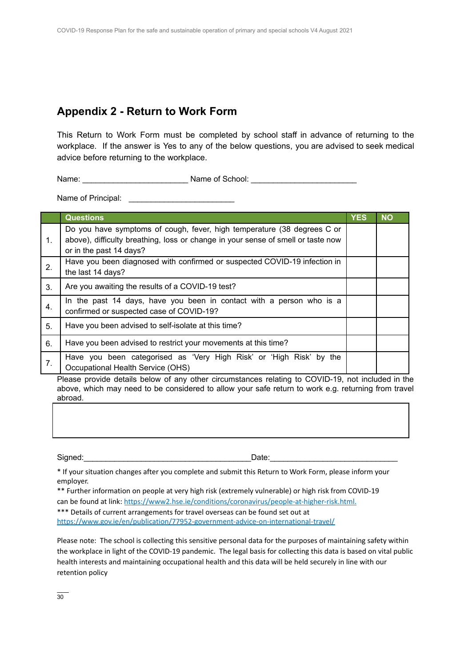### **Appendix 2 - Return to Work Form**

This Return to Work Form must be completed by school staff in advance of returning to the workplace. If the answer is Yes to any of the below questions, you are advised to seek medical advice before returning to the workplace.

Name: example a set of School:  $\blacksquare$ 

Name of Principal:  $\blacksquare$ 

|    | <b>Questions</b>                                                                                                                                                                       | <b>YES</b> | <b>NO</b> |
|----|----------------------------------------------------------------------------------------------------------------------------------------------------------------------------------------|------------|-----------|
| 1. | Do you have symptoms of cough, fever, high temperature (38 degrees C or<br>above), difficulty breathing, loss or change in your sense of smell or taste now<br>or in the past 14 days? |            |           |
| 2. | Have you been diagnosed with confirmed or suspected COVID-19 infection in<br>the last 14 days?                                                                                         |            |           |
| 3. | Are you awaiting the results of a COVID-19 test?                                                                                                                                       |            |           |
| 4. | In the past 14 days, have you been in contact with a person who is a<br>confirmed or suspected case of COVID-19?                                                                       |            |           |
| 5. | Have you been advised to self-isolate at this time?                                                                                                                                    |            |           |
| 6. | Have you been advised to restrict your movements at this time?                                                                                                                         |            |           |
| 7. | Have you been categorised as 'Very High Risk' or 'High Risk' by the<br>Occupational Health Service (OHS)                                                                               |            |           |

Please provide details below of any other circumstances relating to COVID-19, not included in the above, which may need to be considered to allow your safe return to work e.g. returning from travel abroad.

Signed:\_\_\_\_\_\_\_\_\_\_\_\_\_\_\_\_\_\_\_\_\_\_\_\_\_\_\_\_\_\_\_\_\_\_\_\_\_\_Date:\_\_\_\_\_\_\_\_\_\_\_\_\_\_\_\_\_\_\_\_\_\_\_\_\_\_\_\_\_

\* If your situation changes after you complete and submit this Return to Work Form, please inform your employer.

\*\* Further information on people at very high risk (extremely vulnerable) or high risk from COVID-19 can be found at link: [https://www2.hse.ie/conditions/coronavirus/people-at-higher-risk.html.](https://www2.hse.ie/conditions/covid19/people-at-higher-risk/overview/) \*\*\* Details of current arrangements for travel overseas can be found set out at <https://www.gov.ie/en/publication/77952-government-advice-on-international-travel/>

Please note: The school is collecting this sensitive personal data for the purposes of maintaining safety within the workplace in light of the COVID-19 pandemic. The legal basis for collecting this data is based on vital public health interests and maintaining occupational health and this data will be held securely in line with our retention policy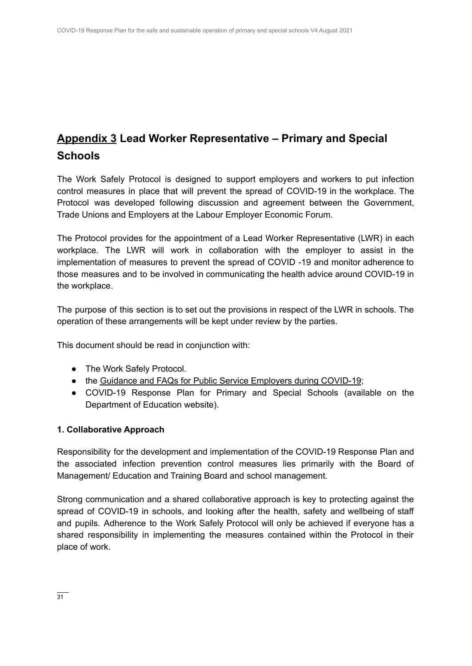# **Appendix 3 Lead Worker Representative – Primary and Special Schools**

The Work Safely Protocol is designed to support employers and workers to put infection control measures in place that will prevent the spread of COVID-19 in the workplace. The Protocol was developed following discussion and agreement between the Government, Trade Unions and Employers at the Labour Employer Economic Forum.

The Protocol provides for the appointment of a Lead Worker Representative (LWR) in each workplace. The LWR will work in collaboration with the employer to assist in the implementation of measures to prevent the spread of COVID -19 and monitor adherence to those measures and to be involved in communicating the health advice around COVID-19 in the workplace.

The purpose of this section is to set out the provisions in respect of the LWR in schools. The operation of these arrangements will be kept under review by the parties.

This document should be read in conjunction with:

- The Work Safely Protocol.
- the Guidance and FAQs for Public Service [Employers](https://www.gov.ie/en/news/092fff-update-on-working-arrangements-and-leave-associated-with-covid-19-fo/) during COVID-19;
- COVID-19 Response Plan for Primary and Special Schools (available on the Department of Education website).

### **1. Collaborative Approach**

Responsibility for the development and implementation of the COVID-19 Response Plan and the associated infection prevention control measures lies primarily with the Board of Management/ Education and Training Board and school management.

Strong communication and a shared collaborative approach is key to protecting against the spread of COVID-19 in schools, and looking after the health, safety and wellbeing of staff and pupils. Adherence to the Work Safely Protocol will only be achieved if everyone has a shared responsibility in implementing the measures contained within the Protocol in their place of work.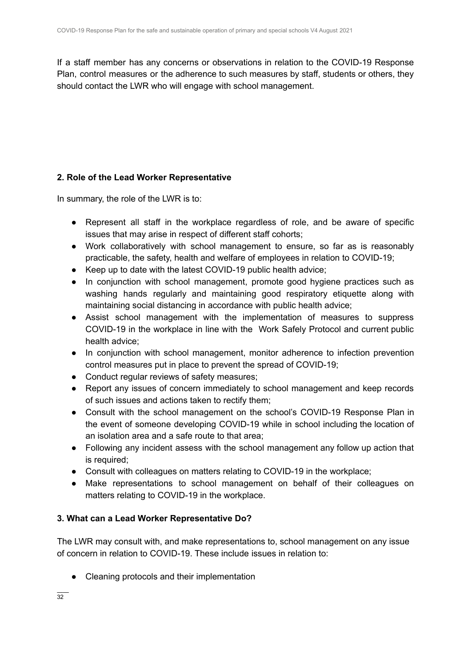If a staff member has any concerns or observations in relation to the COVID-19 Response Plan, control measures or the adherence to such measures by staff, students or others, they should contact the LWR who will engage with school management.

### **2. Role of the Lead Worker Representative**

In summary, the role of the LWR is to:

- Represent all staff in the workplace regardless of role, and be aware of specific issues that may arise in respect of different staff cohorts;
- Work collaboratively with school management to ensure, so far as is reasonably practicable, the safety, health and welfare of employees in relation to COVID-19;
- Keep up to date with the latest COVID-19 public health advice;
- In conjunction with school management, promote good hygiene practices such as washing hands regularly and maintaining good respiratory etiquette along with maintaining social distancing in accordance with public health advice;
- Assist school management with the implementation of measures to suppress COVID-19 in the workplace in line with the Work Safely Protocol and current public health advice;
- In conjunction with school management, monitor adherence to infection prevention control measures put in place to prevent the spread of COVID-19;
- Conduct regular reviews of safety measures;
- Report any issues of concern immediately to school management and keep records of such issues and actions taken to rectify them;
- Consult with the school management on the school's COVID-19 Response Plan in the event of someone developing COVID-19 while in school including the location of an isolation area and a safe route to that area;
- Following any incident assess with the school management any follow up action that is required;
- Consult with colleagues on matters relating to COVID-19 in the workplace;
- Make representations to school management on behalf of their colleagues on matters relating to COVID-19 in the workplace.

### **3. What can a Lead Worker Representative Do?**

The LWR may consult with, and make representations to, school management on any issue of concern in relation to COVID-19. These include issues in relation to:

● Cleaning protocols and their implementation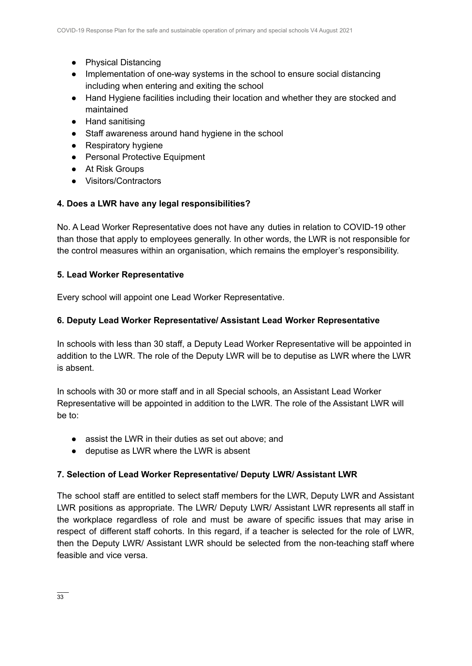- Physical Distancing
- Implementation of one-way systems in the school to ensure social distancing including when entering and exiting the school
- Hand Hygiene facilities including their location and whether they are stocked and maintained
- Hand sanitising
- Staff awareness around hand hygiene in the school
- Respiratory hygiene
- Personal Protective Equipment
- At Risk Groups
- Visitors/Contractors

### **4. Does a LWR have any legal responsibilities?**

No. A Lead Worker Representative does not have any duties in relation to COVID-19 other than those that apply to employees generally. In other words, the LWR is not responsible for the control measures within an organisation, which remains the employer's responsibility.

### **5. Lead Worker Representative**

Every school will appoint one Lead Worker Representative.

### **6. Deputy Lead Worker Representative/ Assistant Lead Worker Representative**

In schools with less than 30 staff, a Deputy Lead Worker Representative will be appointed in addition to the LWR. The role of the Deputy LWR will be to deputise as LWR where the LWR is absent.

In schools with 30 or more staff and in all Special schools, an Assistant Lead Worker Representative will be appointed in addition to the LWR. The role of the Assistant LWR will be to:

- assist the LWR in their duties as set out above; and
- deputise as LWR where the LWR is absent

### **7. Selection of Lead Worker Representative/ Deputy LWR/ Assistant LWR**

The school staff are entitled to select staff members for the LWR, Deputy LWR and Assistant LWR positions as appropriate. The LWR/ Deputy LWR/ Assistant LWR represents all staff in the workplace regardless of role and must be aware of specific issues that may arise in respect of different staff cohorts. In this regard, if a teacher is selected for the role of LWR, then the Deputy LWR/ Assistant LWR should be selected from the non-teaching staff where feasible and vice versa.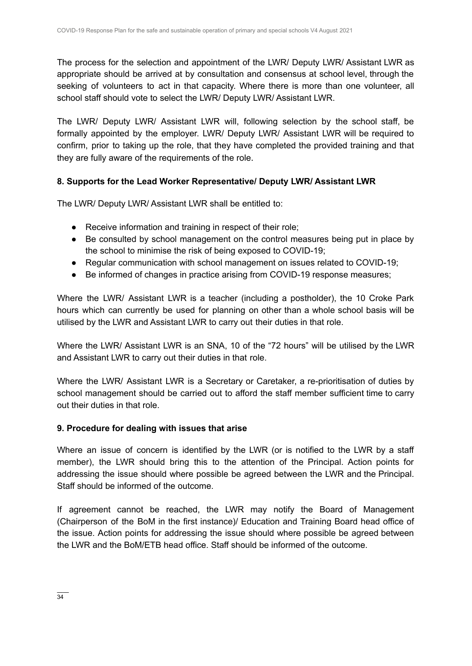The process for the selection and appointment of the LWR/ Deputy LWR/ Assistant LWR as appropriate should be arrived at by consultation and consensus at school level, through the seeking of volunteers to act in that capacity. Where there is more than one volunteer, all school staff should vote to select the LWR/ Deputy LWR/ Assistant LWR.

The LWR/ Deputy LWR/ Assistant LWR will, following selection by the school staff, be formally appointed by the employer. LWR/ Deputy LWR/ Assistant LWR will be required to confirm, prior to taking up the role, that they have completed the provided training and that they are fully aware of the requirements of the role.

### **8. Supports for the Lead Worker Representative/ Deputy LWR/ Assistant LWR**

The LWR/ Deputy LWR/ Assistant LWR shall be entitled to:

- Receive information and training in respect of their role;
- Be consulted by school management on the control measures being put in place by the school to minimise the risk of being exposed to COVID-19;
- Regular communication with school management on issues related to COVID-19;
- Be informed of changes in practice arising from COVID-19 response measures;

Where the LWR/ Assistant LWR is a teacher (including a postholder), the 10 Croke Park hours which can currently be used for planning on other than a whole school basis will be utilised by the LWR and Assistant LWR to carry out their duties in that role.

Where the LWR/ Assistant LWR is an SNA, 10 of the "72 hours" will be utilised by the LWR and Assistant LWR to carry out their duties in that role.

Where the LWR/ Assistant LWR is a Secretary or Caretaker, a re-prioritisation of duties by school management should be carried out to afford the staff member sufficient time to carry out their duties in that role.

### **9. Procedure for dealing with issues that arise**

Where an issue of concern is identified by the LWR (or is notified to the LWR by a staff member), the LWR should bring this to the attention of the Principal. Action points for addressing the issue should where possible be agreed between the LWR and the Principal. Staff should be informed of the outcome.

If agreement cannot be reached, the LWR may notify the Board of Management (Chairperson of the BoM in the first instance)/ Education and Training Board head office of the issue. Action points for addressing the issue should where possible be agreed between the LWR and the BoM/ETB head office. Staff should be informed of the outcome.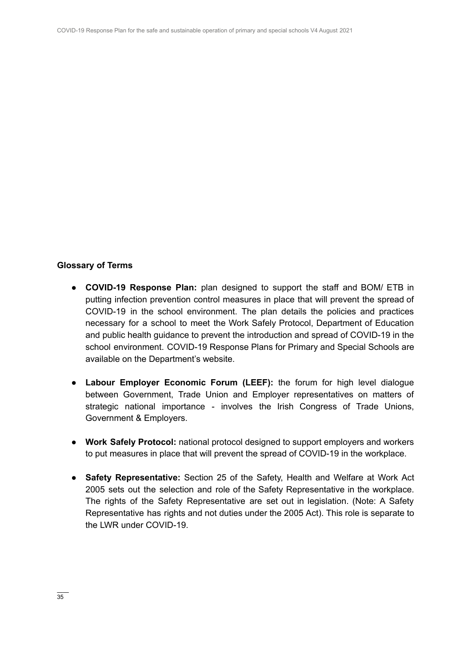### **Glossary of Terms**

- **COVID-19 Response Plan:** plan designed to support the staff and BOM/ ETB in putting infection prevention control measures in place that will prevent the spread of COVID-19 in the school environment. The plan details the policies and practices necessary for a school to meet the Work Safely Protocol, Department of Education and public health guidance to prevent the introduction and spread of COVID-19 in the school environment. COVID-19 Response Plans for Primary and Special Schools are available on the Department's website.
- **Labour Employer Economic Forum (LEEF):** the forum for high level dialogue between Government, Trade Union and Employer representatives on matters of strategic national importance - involves the Irish Congress of Trade Unions, Government & Employers.
- **● Work Safely Protocol:** national protocol designed to support employers and workers to put measures in place that will prevent the spread of COVID-19 in the workplace.
- **Safety Representative:** Section 25 of the Safety, Health and Welfare at Work Act 2005 sets out the selection and role of the Safety Representative in the workplace. The rights of the Safety Representative are set out in legislation. (Note: A Safety Representative has rights and not duties under the 2005 Act). This role is separate to the LWR under COVID-19.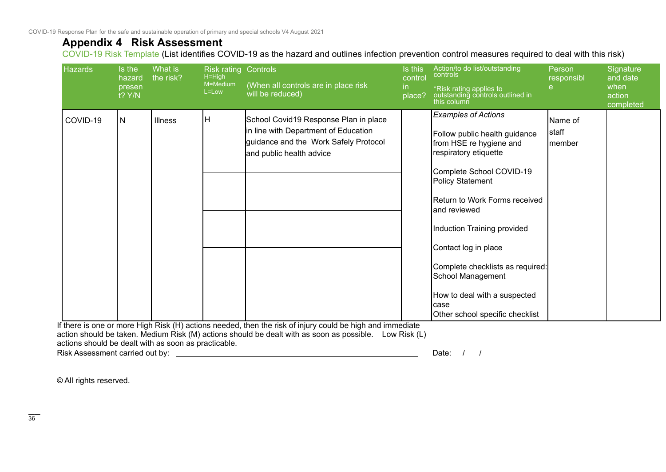### **Appendix 4 Risk Assessment**

COVID-19 Risk Template (List identifies COVID-19 as the hazard and outlines infection prevention control measures required to deal with this risk)

| <b>Hazards</b> | Is the<br>hazard<br>presen<br>t? Y/N | What is<br>the risk? | <b>Risk rating Controls</b><br>$H=High$<br>M=Medium<br>L=Low | (When all controls are in place risk<br>will be reduced)                                                                                           | Is this<br>control<br>in<br>place? | Action/to do list/outstanding<br>controls<br>*Risk rating applies to<br>outstanding controls outlined in<br>this column                                                                                                                                                                                                                                                                                       | Person<br>responsibl<br>е    | Signature<br>and date<br>when<br>action<br>completed |
|----------------|--------------------------------------|----------------------|--------------------------------------------------------------|----------------------------------------------------------------------------------------------------------------------------------------------------|------------------------------------|---------------------------------------------------------------------------------------------------------------------------------------------------------------------------------------------------------------------------------------------------------------------------------------------------------------------------------------------------------------------------------------------------------------|------------------------------|------------------------------------------------------|
| COVID-19       | N                                    | Illness              | ΙH                                                           | School Covid19 Response Plan in place<br>in line with Department of Education<br>guidance and the Work Safely Protocol<br>and public health advice |                                    | <b>Examples of Actions</b><br>Follow public health guidance<br>from HSE re hygiene and<br>respiratory etiquette<br>Complete School COVID-19<br>Policy Statement<br>IReturn to Work Forms received<br>and reviewed<br>Induction Training provided<br>Contact log in place<br>Complete checklists as required:<br>School Management<br>How to deal with a suspected<br>lcase<br>Other school specific checklist | Name of<br> staff<br>Imember |                                                      |

If there is one or more High Risk (H) actions needed, then the risk of injury could be high and immediate action should be taken. Medium Risk (M) actions should be dealt with as soon as possible. Low Risk (L) actions should be dealt with as soon as practicable.

Risk Assessment carried out by: Date: / / / Date: / / /

© All rights reserved.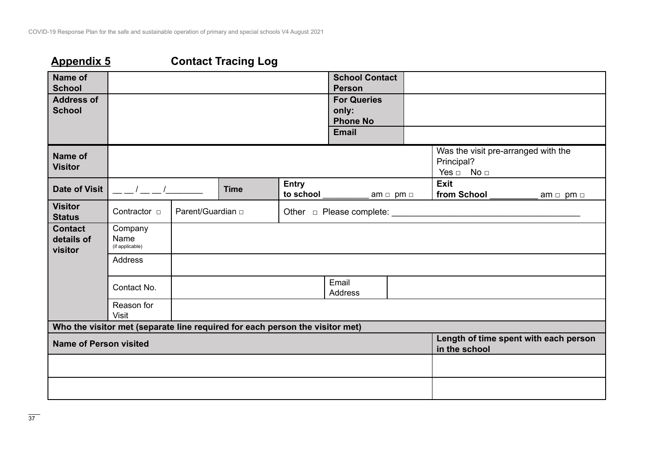# **Appendix 5 Contact Tracing Log**

| Name of<br><b>School</b>                |                                                                              |                    |             |                                          | <b>School Contact</b><br><b>Person</b>                         |                     |                                                                           |                     |
|-----------------------------------------|------------------------------------------------------------------------------|--------------------|-------------|------------------------------------------|----------------------------------------------------------------|---------------------|---------------------------------------------------------------------------|---------------------|
| <b>Address of</b><br><b>School</b>      |                                                                              |                    |             |                                          | <b>For Queries</b><br>only:<br><b>Phone No</b><br><b>Email</b> |                     |                                                                           |                     |
| <b>Name of</b><br><b>Visitor</b>        |                                                                              |                    |             |                                          |                                                                |                     | Was the visit pre-arranged with the<br>Principal?<br>Yes $\Box$ No $\Box$ |                     |
| <b>Date of Visit</b>                    | $\frac{1}{2}$ $\frac{1}{2}$                                                  |                    | <b>Time</b> | <b>Entry</b><br>to school and the school |                                                                | am $\Box$ pm $\Box$ | <b>Exit</b><br>from School                                                | am $\Box$ pm $\Box$ |
| <b>Visitor</b><br><b>Status</b>         | Contractor <b>D</b>                                                          | Parent/Guardian of |             |                                          | Other <del>D</del> Please complete: <u> Denote</u>             |                     |                                                                           |                     |
| <b>Contact</b><br>details of<br>visitor | Company<br>Name<br>(if applicable)                                           |                    |             |                                          |                                                                |                     |                                                                           |                     |
|                                         | Address                                                                      |                    |             |                                          |                                                                |                     |                                                                           |                     |
|                                         | Contact No.                                                                  |                    |             |                                          | Email<br>Address                                               |                     |                                                                           |                     |
|                                         | Reason for<br><b>Visit</b>                                                   |                    |             |                                          |                                                                |                     |                                                                           |                     |
|                                         | Who the visitor met (separate line required for each person the visitor met) |                    |             |                                          |                                                                |                     |                                                                           |                     |
| <b>Name of Person visited</b>           |                                                                              |                    |             |                                          |                                                                |                     | Length of time spent with each person<br>in the school                    |                     |
|                                         |                                                                              |                    |             |                                          |                                                                |                     |                                                                           |                     |
|                                         |                                                                              |                    |             |                                          |                                                                |                     |                                                                           |                     |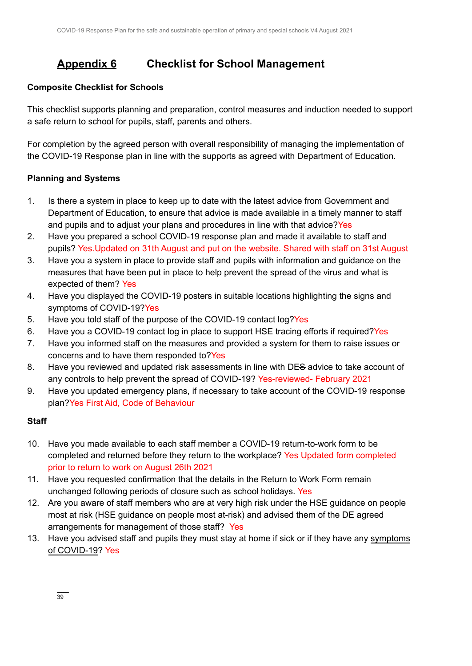## **Appendix 6 Checklist for School Management**

### **Composite Checklist for Schools**

This checklist supports planning and preparation, control measures and induction needed to support a safe return to school for pupils, staff, parents and others.

For completion by the agreed person with overall responsibility of managing the implementation of the COVID-19 Response plan in line with the supports as agreed with Department of Education.

### **Planning and Systems**

- 1. Is there a system in place to keep up to date with the latest advice from Government and Department of Education, to ensure that advice is made available in a timely manner to staff and pupils and to adjust your plans and procedures in line with that advice?Yes
- 2. Have you prepared a school COVID-19 response plan and made it available to staff and pupils? Yes.Updated on 31th August and put on the website. Shared with staff on 31st August
- 3. Have you a system in place to provide staff and pupils with information and guidance on the measures that have been put in place to help prevent the spread of the virus and what is expected of them? Yes
- 4. Have you displayed the COVID-19 posters in suitable locations highlighting the signs and symptoms of COVID-19?Yes
- 5. Have you told staff of the purpose of the COVID-19 contact log?Yes
- 6. Have you a COVID-19 contact log in place to support HSE tracing efforts if required?Yes
- 7. Have you informed staff on the measures and provided a system for them to raise issues or concerns and to have them responded to?Yes
- 8. Have you reviewed and updated risk assessments in line with DES advice to take account of any controls to help prevent the spread of COVID-19? Yes-reviewed- February 2021
- 9. Have you updated emergency plans, if necessary to take account of the COVID-19 response plan?Yes First Aid, Code of Behaviour

### **Staff**

- 10. Have you made available to each staff member a COVID-19 return-to-work form to be completed and returned before they return to the workplace? Yes Updated form completed prior to return to work on August 26th 2021
- 11. Have you requested confirmation that the details in the Return to Work Form remain unchanged following periods of closure such as school holidays. Yes
- 12. Are you aware of staff members who are at very high risk under the HSE guidance on people most at risk (HSE guidance on people most at-risk) and advised them of the DE agreed arrangements for management of those staff? Yes
- 13. Have you advised staff and pupils they must stay at home if sick or if they have any [symptoms](https://www2.hse.ie/conditions/coronavirus/symptoms.html) of [COVID-19?](https://www2.hse.ie/conditions/coronavirus/symptoms.html) Yes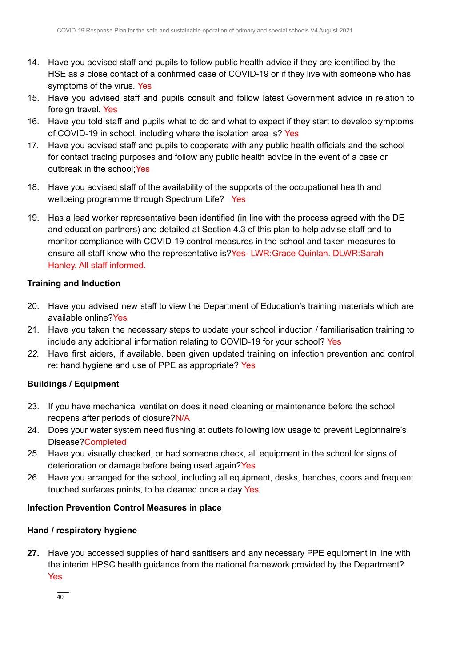- 14. Have you advised staff and pupils to follow public health advice if they are identified by the HSE as a close contact of a confirmed case of COVID-19 or if they live with someone who has symptoms of the virus. Yes
- 15. Have you advised staff and pupils consult and follow latest Government advice in relation to foreign travel. Yes
- 16. Have you told staff and pupils what to do and what to expect if they start to develop symptoms of COVID-19 in school, including where the isolation area is? Yes
- 17. Have you advised staff and pupils to cooperate with any public health officials and the school for contact tracing purposes and follow any public health advice in the event of a case or outbreak in the school; Yes
- 18. Have you advised staff of the availability of the supports of the occupational health and wellbeing programme through Spectrum Life? Yes
- 19. Has a lead worker representative been identified (in line with the process agreed with the DE and education partners) and detailed at Section 4.3 of this plan to help advise staff and to monitor compliance with COVID-19 control measures in the school and taken measures to ensure all staff know who the representative is?Yes- LWR:Grace Quinlan. DLWR:Sarah Hanley. All staff informed.

### **Training and Induction**

- 20. Have you advised new staff to view the Department of Education's training materials which are available online?Yes
- 21. Have you taken the necessary steps to update your school induction / familiarisation training to include any additional information relating to COVID-19 for your school? Yes
- *22.* Have first aiders, if available, been given updated training on infection prevention and control re: hand hygiene and use of PPE as appropriate? Yes

### **Buildings / Equipment**

- 23. If you have mechanical ventilation does it need cleaning or maintenance before the school reopens after periods of closure?N/A
- 24. Does your water system need flushing at outlets following low usage to prevent Legionnaire's Disease?Completed
- 25. Have you visually checked, or had someone check, all equipment in the school for signs of deterioration or damage before being used again?Yes
- 26. Have you arranged for the school, including all equipment, desks, benches, doors and frequent touched surfaces points, to be cleaned once a day Yes

### **Infection Prevention Control Measures in place**

### **Hand / respiratory hygiene**

**27.** Have you accessed supplies of hand sanitisers and any necessary PPE equipment in line with the interim HPSC health guidance from the national framework provided by the Department? Yes

 $\frac{1}{40}$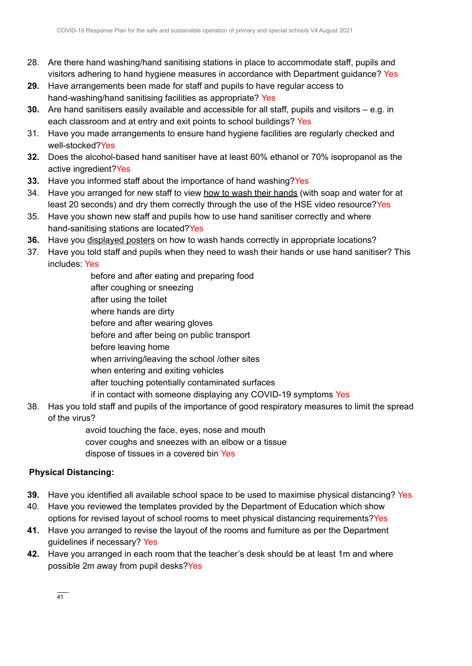- 28. Are there hand washing/hand sanitising stations in place to accommodate staff, pupils and visitors adhering to hand hygiene measures in accordance with Department guidance? Yes
- **29.** Have arrangements been made for staff and pupils to have regular access to hand-washing/hand sanitising facilities as appropriate? Yes
- **30.** Are hand sanitisers easily available and accessible for all staff, pupils and visitors e.g. in each classroom and at entry and exit points to school buildings? Yes
- 31. Have you made arrangements to ensure hand hygiene facilities are regularly checked and well-stocked?Yes
- **32.** Does the alcohol-based hand sanitiser have at least 60% ethanol or 70% isopropanol as the active ingredient?Yes
- **33.** Have you informed staff about the importance of hand washing?Yes
- 34. Have you arranged for new staff to view how to wash their [hands](https://www2.hse.ie/wellbeing/how-to-wash-your-hands.html) (with soap and water for at least 20 seconds) and dry them correctly through the use of the HSE video resource?Yes
- 35. Have you shown new staff and pupils how to use hand sanitiser correctly and where hand-sanitising stations are located?Yes
- **36.** Have you [displayed](https://www.gov.ie/en/collection/ee0781-covid-19-posters-for-public-use/) posters on how to wash hands correctly in appropriate locations?
- 37. Have you told staff and pupils when they need to wash their hands or use hand sanitiser? This includes: Yes

before and after eating and preparing food after coughing or sneezing after using the toilet where hands are dirty before and after wearing gloves before and after being on public transport before leaving home when arriving/leaving the school /other sites when entering and exiting vehicles after touching potentially contaminated surfaces if in contact with someone displaying any COVID-19 symptoms Yes

38. Has you told staff and pupils of the importance of good respiratory measures to limit the spread of the virus?

> avoid touching the face, eyes, nose and mouth cover coughs and sneezes with an elbow or a tissue dispose of tissues in a covered bin Yes

### **Physical Distancing:**

- **39.** Have you identified all available school space to be used to maximise physical distancing? Yes
- 40. Have you reviewed the templates provided by the Department of Education which show options for revised layout of school rooms to meet physical distancing requirements?Yes
- **41.** Have you arranged to revise the layout of the rooms and furniture as per the Department guidelines if necessary? Yes
- **42.** Have you arranged in each room that the teacher's desk should be at least 1m and where possible 2m away from pupil desks?Yes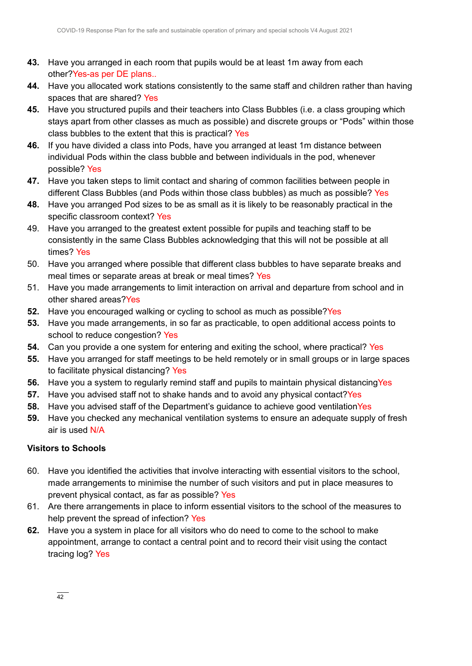- **43.** Have you arranged in each room that pupils would be at least 1m away from each other?Yes-as per DE plans..
- **44.** Have you allocated work stations consistently to the same staff and children rather than having spaces that are shared? Yes
- **45.** Have you structured pupils and their teachers into Class Bubbles (i.e. a class grouping which stays apart from other classes as much as possible) and discrete groups or "Pods" within those class bubbles to the extent that this is practical? Yes
- **46.** If you have divided a class into Pods, have you arranged at least 1m distance between individual Pods within the class bubble and between individuals in the pod, whenever possible? Yes
- **47.** Have you taken steps to limit contact and sharing of common facilities between people in different Class Bubbles (and Pods within those class bubbles) as much as possible? Yes
- **48.** Have you arranged Pod sizes to be as small as it is likely to be reasonably practical in the specific classroom context? Yes
- 49. Have you arranged to the greatest extent possible for pupils and teaching staff to be consistently in the same Class Bubbles acknowledging that this will not be possible at all times? Yes
- 50. Have you arranged where possible that different class bubbles to have separate breaks and meal times or separate areas at break or meal times? Yes
- 51. Have you made arrangements to limit interaction on arrival and departure from school and in other shared areas?Yes
- **52.** Have you encouraged walking or cycling to school as much as possible?Yes
- **53.** Have you made arrangements, in so far as practicable, to open additional access points to school to reduce congestion? Yes
- **54.** Can you provide a one system for entering and exiting the school, where practical? Yes
- **55.** Have you arranged for staff meetings to be held remotely or in small groups or in large spaces to facilitate physical distancing? Yes
- **56.** Have you a system to regularly remind staff and pupils to maintain physical distancing Yes
- **57.** Have you advised staff not to shake hands and to avoid any physical contact? Yes
- **58.** Have you advised staff of the Department's guidance to achieve good ventilationYes
- **59.** Have you checked any mechanical ventilation systems to ensure an adequate supply of fresh air is used N/A

### **Visitors to Schools**

- 60. Have you identified the activities that involve interacting with essential visitors to the school, made arrangements to minimise the number of such visitors and put in place measures to prevent physical contact, as far as possible? Yes
- 61. Are there arrangements in place to inform essential visitors to the school of the measures to help prevent the spread of infection? Yes
- **62.** Have you a system in place for all visitors who do need to come to the school to make appointment, arrange to contact a central point and to record their visit using the contact tracing log? Yes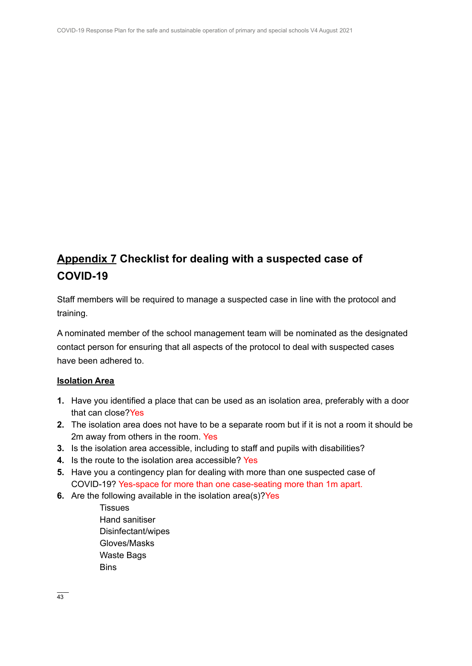## **Appendix 7 Checklist for dealing with a suspected case of COVID-19**

Staff members will be required to manage a suspected case in line with the protocol and training.

A nominated member of the school management team will be nominated as the designated contact person for ensuring that all aspects of the protocol to deal with suspected cases have been adhered to.

### **Isolation Area**

- **1.** Have you identified a place that can be used as an isolation area, preferably with a door that can close?Yes
- **2.** The isolation area does not have to be a separate room but if it is not a room it should be 2m away from others in the room. Yes
- **3.** Is the isolation area accessible, including to staff and pupils with disabilities?
- **4.** Is the route to the isolation area accessible? Yes
- **5.** Have you a contingency plan for dealing with more than one suspected case of COVID-19? Yes-space for more than one case-seating more than 1m apart.
- **6.** Are the following available in the isolation area(s)?Yes
	- Tissues Hand sanitiser Disinfectant/wipes Gloves/Masks Waste Bags **Bins**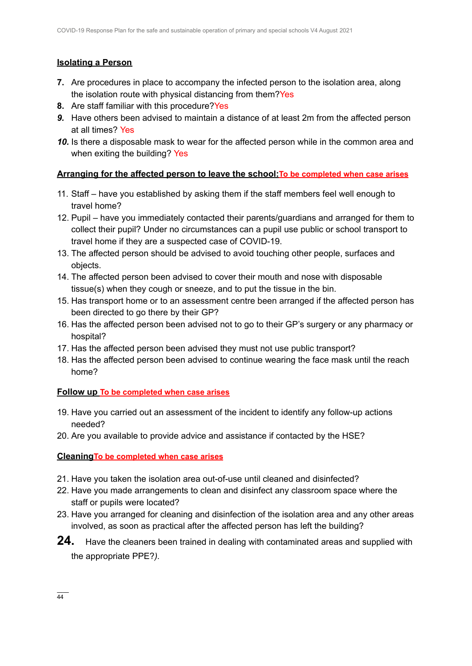### **Isolating a Person**

- **7.** Are procedures in place to accompany the infected person to the isolation area, along the isolation route with physical distancing from them?Yes
- **8.** Are staff familiar with this procedure?Yes
- *9.* Have others been advised to maintain a distance of at least 2m from the affected person at all times? Yes
- *10.* Is there a disposable mask to wear for the affected person while in the common area and when exiting the building? Yes

### **Arranging for the affected person to leave the school:To be completed when case arises**

- 11. Staff have you established by asking them if the staff members feel well enough to travel home?
- 12. Pupil have you immediately contacted their parents/guardians and arranged for them to collect their pupil? Under no circumstances can a pupil use public or school transport to travel home if they are a suspected case of COVID-19.
- 13. The affected person should be advised to avoid touching other people, surfaces and objects.
- 14. The affected person been advised to cover their mouth and nose with disposable tissue(s) when they cough or sneeze, and to put the tissue in the bin.
- 15. Has transport home or to an assessment centre been arranged if the affected person has been directed to go there by their GP?
- 16. Has the affected person been advised not to go to their GP's surgery or any pharmacy or hospital?
- 17. Has the affected person been advised they must not use public transport?
- 18. Has the affected person been advised to continue wearing the face mask until the reach home?

### **Follow up To be completed when case arises**

- 19. Have you carried out an assessment of the incident to identify any follow-up actions needed?
- 20. Are you available to provide advice and assistance if contacted by the HSE?

**CleaningTo be completed when case arises**

- 21. Have you taken the isolation area out-of-use until cleaned and disinfected?
- 22. Have you made arrangements to clean and disinfect any classroom space where the staff or pupils were located?
- 23. Have you arranged for cleaning and disinfection of the isolation area and any other areas involved, as soon as practical after the affected person has left the building?
- **24.** Have the cleaners been trained in dealing with contaminated areas and supplied with the appropriate PPE?*).*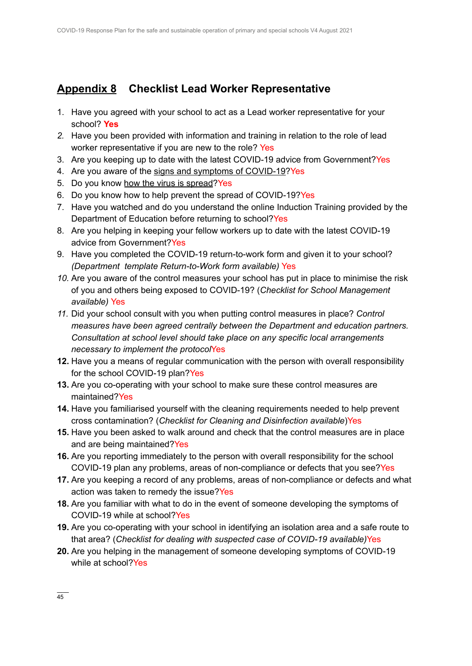## **Appendix 8 Checklist Lead Worker Representative**

- 1. Have you agreed with your school to act as a Lead worker representative for your school? **Yes**
- *2.* Have you been provided with information and training in relation to the role of lead worker representative if you are new to the role? Yes
- 3. Are you keeping up to date with the latest COVID-19 advice from Government?Yes
- 4. Are you aware of the signs and symptoms of [COVID-19?](https://www2.hse.ie/conditions/coronavirus/symptoms.html)Yes
- 5. Do you know how the virus is [spread](https://www2.hse.ie/conditions/coronavirus/how-coronavirus-is-spread.html)?Yes
- 6. Do you know how to help prevent the spread of COVID-19?Yes
- 7. Have you watched and do you understand the online Induction Training provided by the Department of Education before returning to school?Yes
- 8. Are you helping in keeping your fellow workers up to date with the latest COVID-19 advice from Government?Yes
- 9. Have you completed the COVID-19 return-to-work form and given it to your school? *(Department template Return-to-Work form available)* Yes
- *10.* Are you aware of the control measures your school has put in place to minimise the risk of you and others being exposed to COVID-19? (*Checklist for School Management available)* Yes
- *11.* Did your school consult with you when putting control measures in place? *Control measures have been agreed centrally between the Department and education partners. Consultation at school level should take place on any specific local arrangements necessary to implement the protocol*Yes
- **12.** Have you a means of regular communication with the person with overall responsibility for the school COVID-19 plan?Yes
- **13.** Are you co-operating with your school to make sure these control measures are maintained?Yes
- **14.** Have you familiarised yourself with the cleaning requirements needed to help prevent cross contamination? (*Checklist for Cleaning and Disinfection available*)Yes
- **15.** Have you been asked to walk around and check that the control measures are in place and are being maintained?Yes
- **16.** Are you reporting immediately to the person with overall responsibility for the school COVID-19 plan any problems, areas of non-compliance or defects that you see?Yes
- **17.** Are you keeping a record of any problems, areas of non-compliance or defects and what action was taken to remedy the issue?Yes
- **18.** Are you familiar with what to do in the event of someone developing the symptoms of COVID-19 while at school?Yes
- **19.** Are you co-operating with your school in identifying an isolation area and a safe route to that area? (*Checklist for dealing with suspected case of COVID-19 available)*Yes
- **20.** Are you helping in the management of someone developing symptoms of COVID-19 while at school?Yes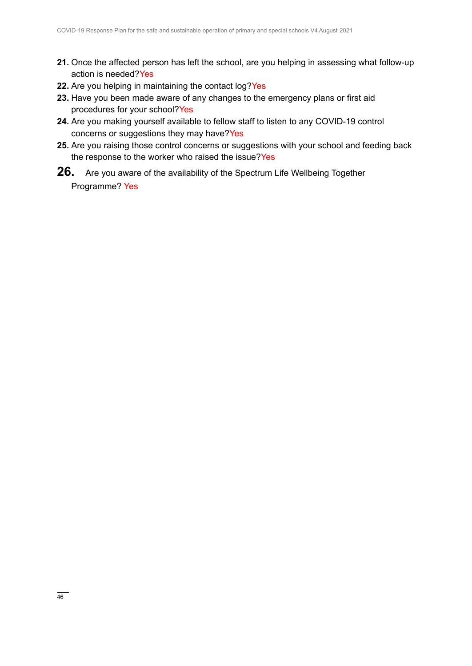- **21.** Once the affected person has left the school, are you helping in assessing what follow-up action is needed?Yes
- **22.** Are you helping in maintaining the contact log?Yes
- **23.** Have you been made aware of any changes to the emergency plans or first aid procedures for your school?Yes
- **24.** Are you making yourself available to fellow staff to listen to any COVID-19 control concerns or suggestions they may have?Yes
- **25.** Are you raising those control concerns or suggestions with your school and feeding back the response to the worker who raised the issue?Yes
- **26.** Are you aware of the availability of the Spectrum Life Wellbeing Together Programme? Yes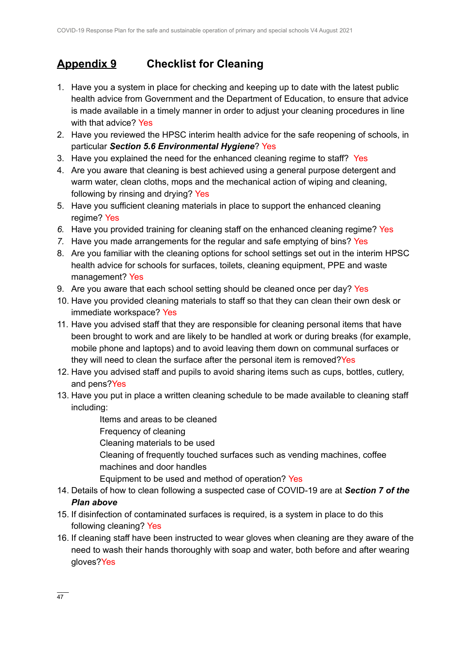## **Appendix 9 Checklist for Cleaning**

- 1. Have you a system in place for checking and keeping up to date with the latest public health advice from Government and the Department of Education, to ensure that advice is made available in a timely manner in order to adjust your cleaning procedures in line with that advice? Yes
- 2. Have you reviewed the HPSC interim health advice for the safe reopening of schools, in particular *Section 5.6 Environmental Hygiene*? Yes
- 3. Have you explained the need for the enhanced cleaning regime to staff? Yes
- 4. Are you aware that cleaning is best achieved using a general purpose detergent and warm water, clean cloths, mops and the mechanical action of wiping and cleaning, following by rinsing and drying? Yes
- 5. Have you sufficient cleaning materials in place to support the enhanced cleaning regime? Yes
- *6.* Have you provided training for cleaning staff on the enhanced cleaning regime? Yes
- *7.* Have you made arrangements for the regular and safe emptying of bins? Yes
- 8. Are you familiar with the cleaning options for school settings set out in the interim HPSC health advice for schools for surfaces, toilets, cleaning equipment, PPE and waste management? Yes
- 9. Are you aware that each school setting should be cleaned once per day? Yes
- 10. Have you provided cleaning materials to staff so that they can clean their own desk or immediate workspace? Yes
- 11. Have you advised staff that they are responsible for cleaning personal items that have been brought to work and are likely to be handled at work or during breaks (for example, mobile phone and laptops) and to avoid leaving them down on communal surfaces or they will need to clean the surface after the personal item is removed? Yes
- 12. Have you advised staff and pupils to avoid sharing items such as cups, bottles, cutlery, and pens?Yes
- 13. Have you put in place a written cleaning schedule to be made available to cleaning staff including:
	- Items and areas to be cleaned
	- Frequency of cleaning
	- Cleaning materials to be used
	- Cleaning of frequently touched surfaces such as vending machines, coffee machines and door handles
	- Equipment to be used and method of operation? Yes
- 14. Details of how to clean following a suspected case of COVID-19 are at *Section 7 of the Plan above*
- 15. If disinfection of contaminated surfaces is required, is a system in place to do this following cleaning? Yes
- 16. If cleaning staff have been instructed to wear gloves when cleaning are they aware of the need to wash their hands thoroughly with soap and water, both before and after wearing gloves?Yes